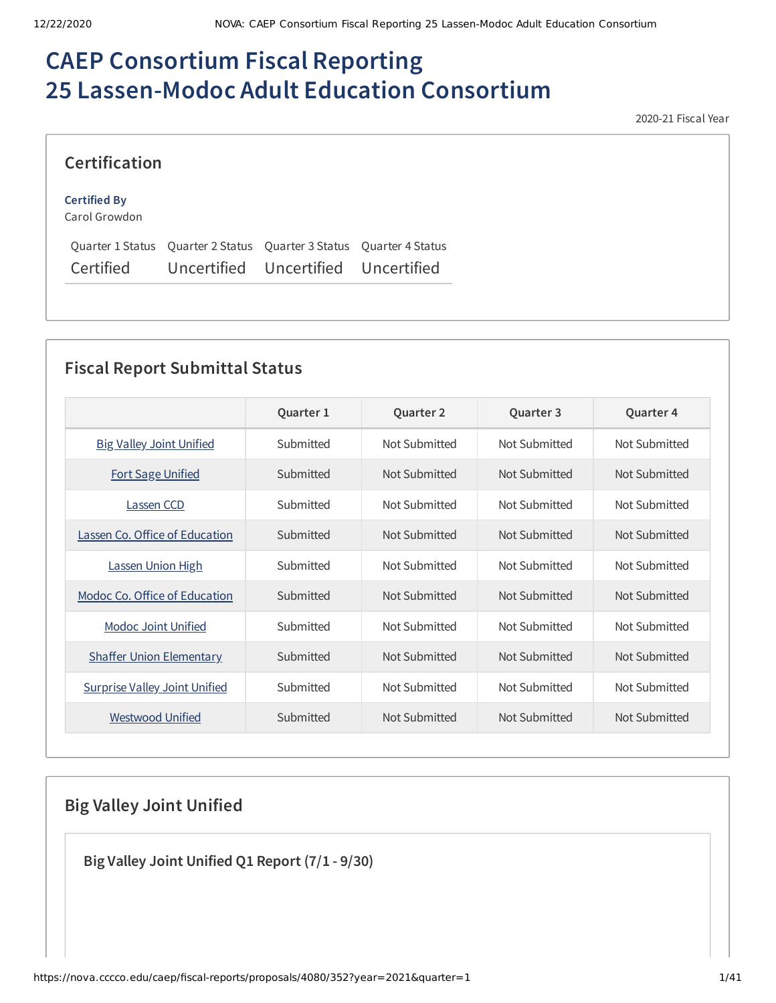# **CAEP Consortium Fiscal Reporting 25 Lassen-Modoc Adult Education Consortium**

2020-21 Fiscal Year

### **Certification**

#### **Certified By**

Carol Growdon

|           |             | Ouarter 1 Status Ouarter 2 Status Ouarter 3 Status Ouarter 4 Status |  |
|-----------|-------------|---------------------------------------------------------------------|--|
| Certified | Uncertified | Uncertified Uncertified                                             |  |

# **Fiscal Report Submittal Status**

|                                      | Quarter 1 | <b>Quarter 2</b> | Quarter 3     | <b>Quarter 4</b> |
|--------------------------------------|-----------|------------------|---------------|------------------|
| <b>Big Valley Joint Unified</b>      | Submitted | Not Submitted    | Not Submitted | Not Submitted    |
| <b>Fort Sage Unified</b>             | Submitted | Not Submitted    | Not Submitted | Not Submitted    |
| Lassen CCD                           | Submitted | Not Submitted    | Not Submitted | Not Submitted    |
| Lassen Co. Office of Education       | Submitted | Not Submitted    | Not Submitted | Not Submitted    |
| Lassen Union High                    | Submitted | Not Submitted    | Not Submitted | Not Submitted    |
| Modoc Co. Office of Education        | Submitted | Not Submitted    | Not Submitted | Not Submitted    |
| Modoc Joint Unified                  | Submitted | Not Submitted    | Not Submitted | Not Submitted    |
| <b>Shaffer Union Elementary</b>      | Submitted | Not Submitted    | Not Submitted | Not Submitted    |
| <b>Surprise Valley Joint Unified</b> | Submitted | Not Submitted    | Not Submitted | Not Submitted    |
| Westwood Unified                     | Submitted | Not Submitted    | Not Submitted | Not Submitted    |

# **Big Valley Joint Unified**

**Big Valley Joint Unified Q1 Report (7/1 - 9/30)**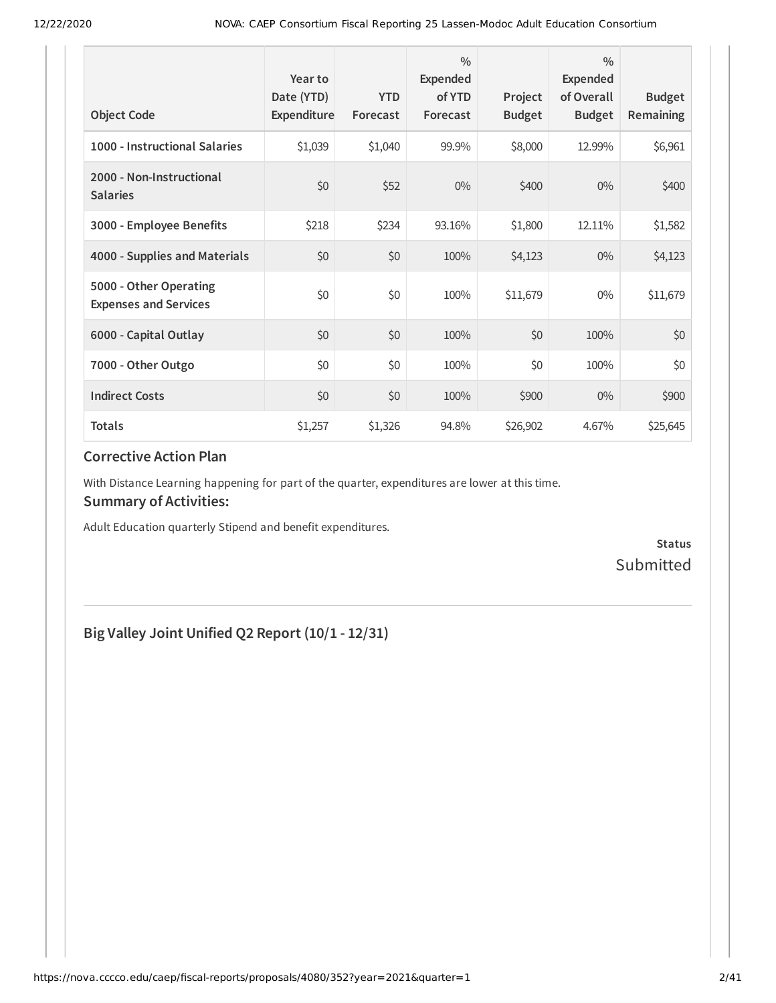| <b>Object Code</b>                                     | Year to<br>Date (YTD)<br>Expenditure | <b>YTD</b><br>Forecast | $\frac{0}{0}$<br>Expended<br>of YTD<br>Forecast | Project<br><b>Budget</b> | $\frac{0}{0}$<br>Expended<br>of Overall<br><b>Budget</b> | <b>Budget</b><br><b>Remaining</b> |
|--------------------------------------------------------|--------------------------------------|------------------------|-------------------------------------------------|--------------------------|----------------------------------------------------------|-----------------------------------|
| 1000 - Instructional Salaries                          | \$1,039                              | \$1,040                | 99.9%                                           | \$8,000                  | 12.99%                                                   | \$6,961                           |
| 2000 - Non-Instructional<br><b>Salaries</b>            | \$0                                  | \$52                   | $0\%$                                           | \$400                    | $0\%$                                                    | \$400                             |
| 3000 - Employee Benefits                               | \$218                                | \$234                  | 93.16%                                          | \$1,800                  | 12.11%                                                   | \$1,582                           |
| 4000 - Supplies and Materials                          | \$0                                  | \$0                    | 100%                                            | \$4,123                  | $0\%$                                                    | \$4,123                           |
| 5000 - Other Operating<br><b>Expenses and Services</b> | \$0                                  | \$0                    | 100%                                            | \$11,679                 | 0%                                                       | \$11,679                          |
| 6000 - Capital Outlay                                  | \$0                                  | \$0                    | 100%                                            | \$0                      | 100%                                                     | \$0                               |
| 7000 - Other Outgo                                     | \$0                                  | \$0                    | 100%                                            | \$0                      | 100%                                                     | \$0                               |
| <b>Indirect Costs</b>                                  | \$0                                  | \$0                    | 100%                                            | \$900                    | $0\%$                                                    | \$900                             |
| <b>Totals</b>                                          | \$1,257                              | \$1,326                | 94.8%                                           | \$26,902                 | 4.67%                                                    | \$25,645                          |

With Distance Learning happening for part of the quarter, expenditures are lower at this time.

#### **Summary of Activities:**

Adult Education quarterly Stipend and benefit expenditures.

**Status** Submitted

# **Big Valley Joint Unified Q2 Report (10/1 - 12/31)**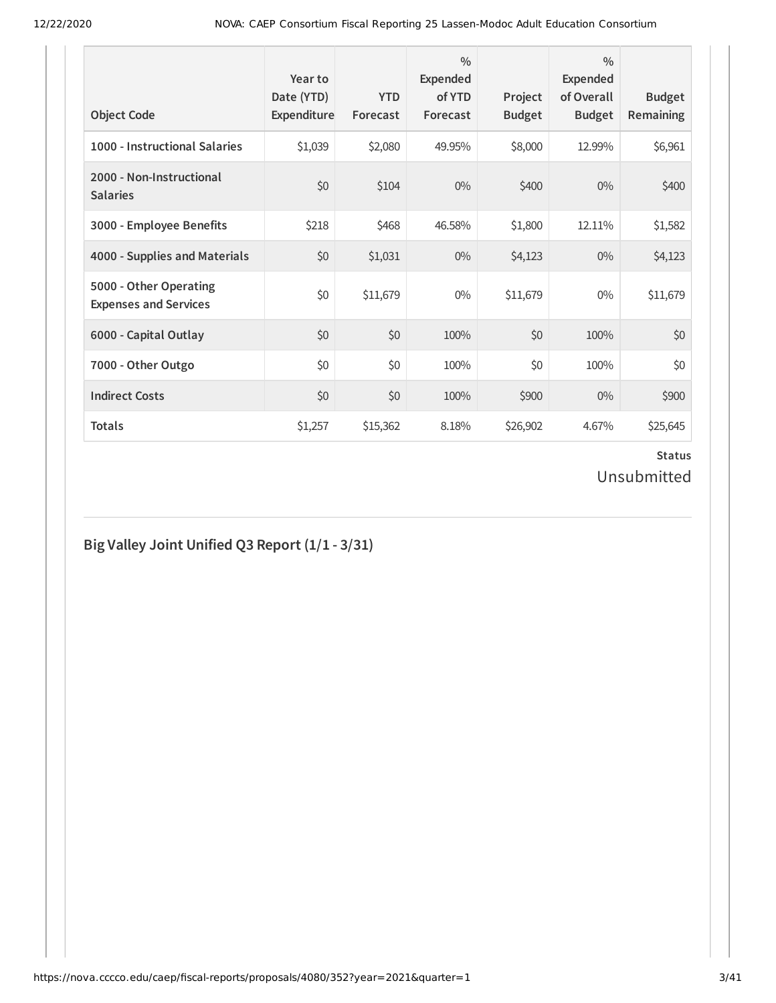| <b>Object Code</b>                                     | Year to<br>Date (YTD)<br>Expenditure | <b>YTD</b><br>Forecast | $\frac{0}{0}$<br>Expended<br>of YTD<br>Forecast | Project<br><b>Budget</b> | $\frac{0}{0}$<br>Expended<br>of Overall<br><b>Budget</b> | <b>Budget</b><br><b>Remaining</b> |
|--------------------------------------------------------|--------------------------------------|------------------------|-------------------------------------------------|--------------------------|----------------------------------------------------------|-----------------------------------|
| 1000 - Instructional Salaries                          | \$1,039                              | \$2,080                | 49.95%                                          | \$8,000                  | 12.99%                                                   | \$6,961                           |
| 2000 - Non-Instructional<br><b>Salaries</b>            | \$0                                  | \$104                  | $0\%$                                           | \$400                    | $0\%$                                                    | \$400                             |
| 3000 - Employee Benefits                               | \$218                                | \$468                  | 46.58%                                          | \$1,800                  | 12.11%                                                   | \$1,582                           |
| 4000 - Supplies and Materials                          | \$0                                  | \$1,031                | $0\%$                                           | \$4,123                  | $0\%$                                                    | \$4,123                           |
| 5000 - Other Operating<br><b>Expenses and Services</b> | \$0                                  | \$11,679               | $0\%$                                           | \$11,679                 | $0\%$                                                    | \$11,679                          |
| 6000 - Capital Outlay                                  | \$0                                  | \$0                    | 100%                                            | \$0                      | 100%                                                     | \$0                               |
| 7000 - Other Outgo                                     | \$0                                  | \$0                    | 100%                                            | \$0                      | 100%                                                     | \$0                               |
| <b>Indirect Costs</b>                                  | \$0                                  | \$0                    | 100%                                            | \$900                    | $0\%$                                                    | \$900                             |
| <b>Totals</b>                                          | \$1,257                              | \$15,362               | 8.18%                                           | \$26,902                 | 4.67%                                                    | \$25,645                          |

# **Big Valley Joint Unified Q3 Report (1/1 - 3/31)**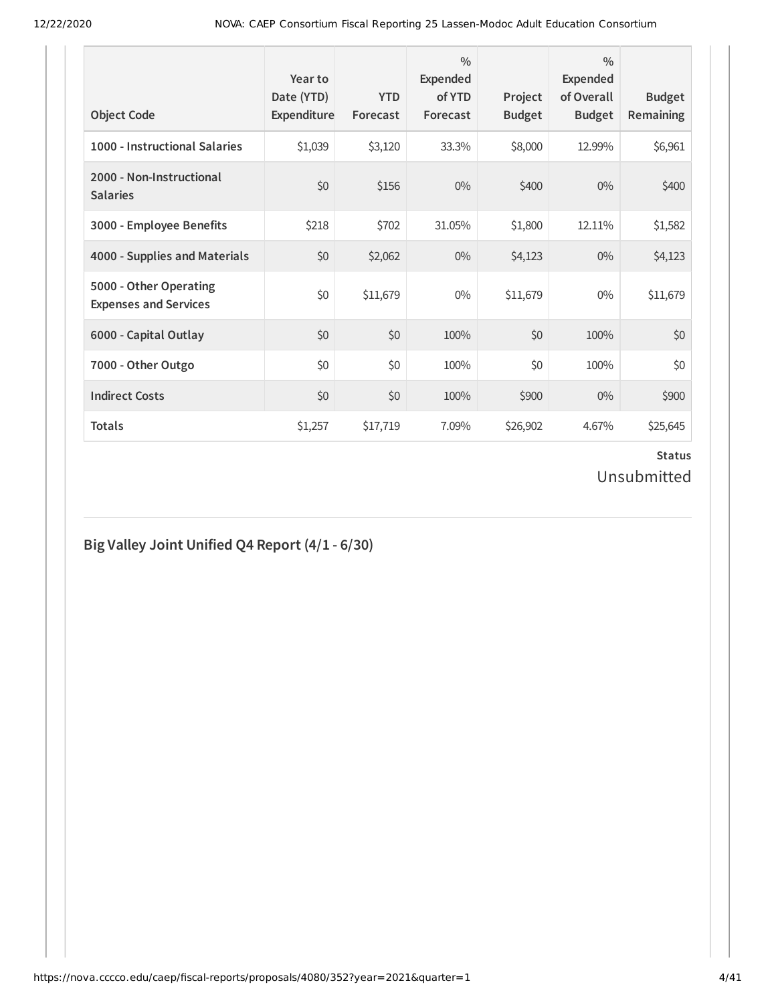| <b>Object Code</b>                                     | Year to<br>Date (YTD)<br>Expenditure | <b>YTD</b><br>Forecast | $\frac{0}{0}$<br><b>Expended</b><br>of YTD<br>Forecast | Project<br><b>Budget</b> | $\frac{0}{0}$<br>Expended<br>of Overall<br><b>Budget</b> | <b>Budget</b><br><b>Remaining</b> |
|--------------------------------------------------------|--------------------------------------|------------------------|--------------------------------------------------------|--------------------------|----------------------------------------------------------|-----------------------------------|
| 1000 - Instructional Salaries                          | \$1,039                              | \$3,120                | 33.3%                                                  | \$8,000                  | 12.99%                                                   | \$6,961                           |
| 2000 - Non-Instructional<br><b>Salaries</b>            | \$0                                  | \$156                  | $0\%$                                                  | \$400                    | $0\%$                                                    | \$400                             |
| 3000 - Employee Benefits                               | \$218                                | \$702                  | 31.05%                                                 | \$1,800                  | 12.11%                                                   | \$1,582                           |
| 4000 - Supplies and Materials                          | \$0                                  | \$2,062                | $0\%$                                                  | \$4,123                  | $0\%$                                                    | \$4,123                           |
| 5000 - Other Operating<br><b>Expenses and Services</b> | \$0                                  | \$11,679               | $0\%$                                                  | \$11,679                 | $0\%$                                                    | \$11,679                          |
| 6000 - Capital Outlay                                  | \$0                                  | \$0                    | 100%                                                   | \$0                      | 100%                                                     | \$0                               |
| 7000 - Other Outgo                                     | \$0                                  | \$0                    | 100%                                                   | \$0                      | 100%                                                     | \$0                               |
| <b>Indirect Costs</b>                                  | \$0                                  | \$0                    | 100%                                                   | \$900                    | $0\%$                                                    | \$900                             |
| <b>Totals</b>                                          | \$1,257                              | \$17,719               | 7.09%                                                  | \$26,902                 | 4.67%                                                    | \$25,645                          |

# **Big Valley Joint Unified Q4 Report (4/1 - 6/30)**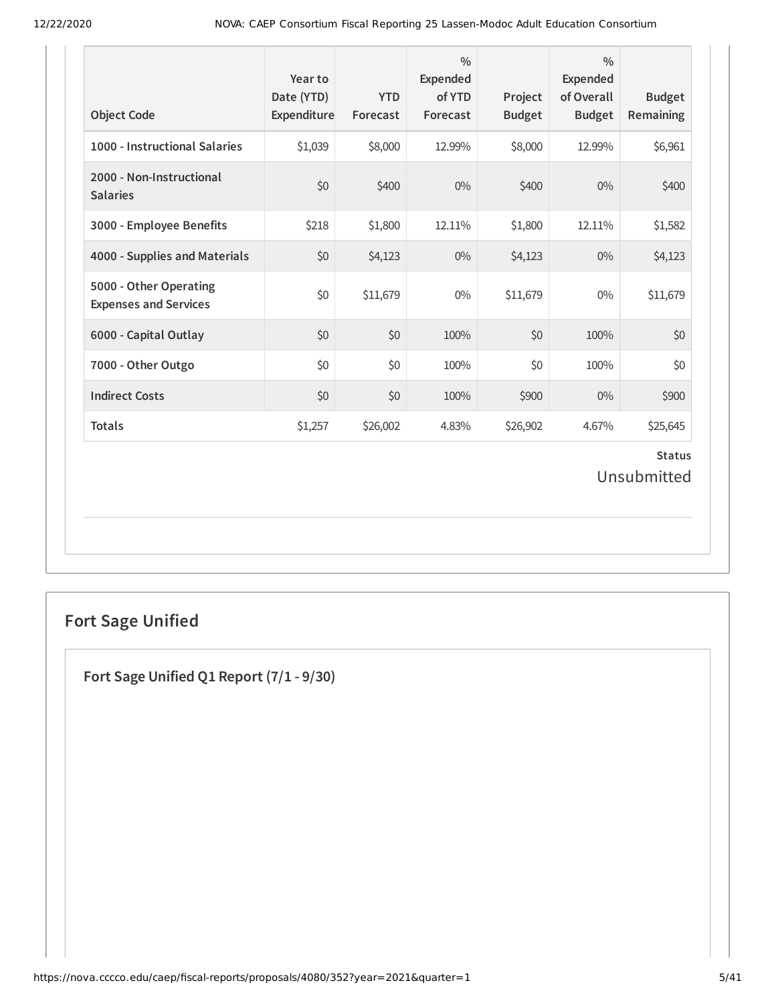| <b>Object Code</b>                                     | Year to<br>Date (YTD)<br>Expenditure | <b>YTD</b><br>Forecast | $\frac{0}{0}$<br>Expended<br>of YTD<br>Forecast | Project<br><b>Budget</b> | $\frac{0}{0}$<br>Expended<br>of Overall<br><b>Budget</b> | <b>Budget</b><br>Remaining   |
|--------------------------------------------------------|--------------------------------------|------------------------|-------------------------------------------------|--------------------------|----------------------------------------------------------|------------------------------|
| 1000 - Instructional Salaries                          | \$1,039                              | \$8,000                | 12.99%                                          | \$8,000                  | 12.99%                                                   | \$6,961                      |
| 2000 - Non-Instructional<br><b>Salaries</b>            | \$0                                  | \$400                  | $0\%$                                           | \$400                    | 0%                                                       | \$400                        |
| 3000 - Employee Benefits                               | \$218                                | \$1,800                | 12.11%                                          | \$1,800                  | 12.11%                                                   | \$1,582                      |
| 4000 - Supplies and Materials                          | \$0                                  | \$4,123                | $0\%$                                           | \$4,123                  | $0\%$                                                    | \$4,123                      |
| 5000 - Other Operating<br><b>Expenses and Services</b> | \$0                                  | \$11,679               | $0\%$                                           | \$11,679                 | $0\%$                                                    | \$11,679                     |
| 6000 - Capital Outlay                                  | \$0                                  | \$0                    | 100%                                            | \$0                      | 100%                                                     | \$0                          |
| 7000 - Other Outgo                                     | \$0                                  | \$0                    | 100%                                            | \$0                      | 100%                                                     | \$0                          |
| <b>Indirect Costs</b>                                  | \$0                                  | \$0                    | 100%                                            | \$900                    | $0\%$                                                    | \$900                        |
| <b>Totals</b>                                          | \$1,257                              | \$26,002               | 4.83%                                           | \$26,902                 | 4.67%                                                    | \$25,645                     |
|                                                        |                                      |                        |                                                 |                          |                                                          | <b>Status</b><br>Unsubmitted |

# **Fort Sage Unified**

**Fort Sage Unified Q1 Report (7/1 - 9/30)**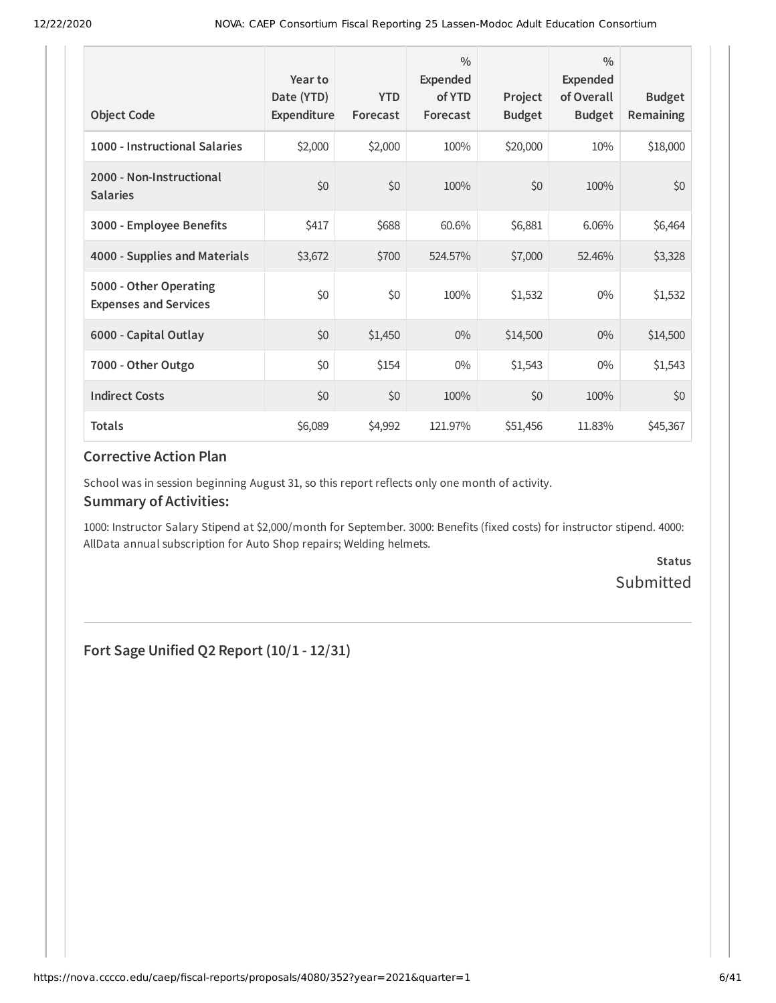| <b>Object Code</b>                                     | Year to<br>Date (YTD)<br>Expenditure | <b>YTD</b><br>Forecast | $\frac{0}{0}$<br>Expended<br>of YTD<br>Forecast | Project<br><b>Budget</b> | $\frac{0}{0}$<br>Expended<br>of Overall<br><b>Budget</b> | <b>Budget</b><br>Remaining |
|--------------------------------------------------------|--------------------------------------|------------------------|-------------------------------------------------|--------------------------|----------------------------------------------------------|----------------------------|
| 1000 - Instructional Salaries                          | \$2,000                              | \$2,000                | 100%                                            | \$20,000                 | 10%                                                      | \$18,000                   |
| 2000 - Non-Instructional<br><b>Salaries</b>            | \$0                                  | \$0                    | 100%                                            | \$0                      | 100%                                                     | \$0                        |
| 3000 - Employee Benefits                               | \$417                                | \$688                  | 60.6%                                           | \$6,881                  | 6.06%                                                    | \$6,464                    |
| 4000 - Supplies and Materials                          | \$3,672                              | \$700                  | 524.57%                                         | \$7,000                  | 52.46%                                                   | \$3,328                    |
| 5000 - Other Operating<br><b>Expenses and Services</b> | \$0                                  | \$0                    | 100%                                            | \$1,532                  | $0\%$                                                    | \$1,532                    |
| 6000 - Capital Outlay                                  | \$0                                  | \$1,450                | $0\%$                                           | \$14,500                 | $0\%$                                                    | \$14,500                   |
| 7000 - Other Outgo                                     | \$0                                  | \$154                  | $0\%$                                           | \$1,543                  | $0\%$                                                    | \$1,543                    |
| <b>Indirect Costs</b>                                  | \$0                                  | \$0                    | 100%                                            | \$0                      | 100%                                                     | \$0                        |
| <b>Totals</b>                                          | \$6,089                              | \$4,992                | 121.97%                                         | \$51,456                 | 11.83%                                                   | \$45,367                   |

School was in session beginning August 31, so this report reflects only one month of activity.

#### **Summary of Activities:**

1000: Instructor Salary Stipend at \$2,000/month for September. 3000: Benefits (fixed costs) for instructor stipend. 4000: AllData annual subscription for Auto Shop repairs; Welding helmets.

> **Status** Submitted

**Fort Sage Unified Q2 Report (10/1 - 12/31)**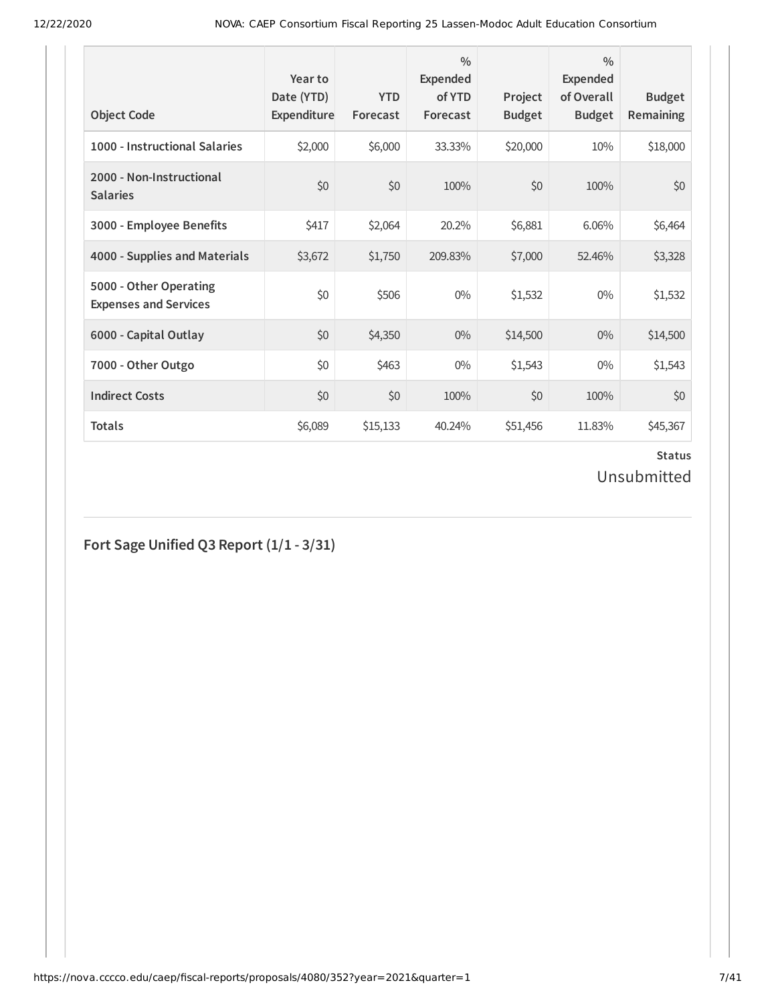| <b>Object Code</b>                                     | Year to<br>Date (YTD)<br>Expenditure | <b>YTD</b><br>Forecast | $\frac{0}{0}$<br><b>Expended</b><br>of YTD<br>Forecast | Project<br><b>Budget</b> | $\frac{0}{0}$<br>Expended<br>of Overall<br><b>Budget</b> | <b>Budget</b><br><b>Remaining</b> |
|--------------------------------------------------------|--------------------------------------|------------------------|--------------------------------------------------------|--------------------------|----------------------------------------------------------|-----------------------------------|
| 1000 - Instructional Salaries                          | \$2,000                              | \$6,000                | 33.33%                                                 | \$20,000                 | 10%                                                      | \$18,000                          |
| 2000 - Non-Instructional<br><b>Salaries</b>            | \$0                                  | \$0                    | 100%                                                   | \$0                      | 100%                                                     | \$0                               |
| 3000 - Employee Benefits                               | \$417                                | \$2,064                | 20.2%                                                  | \$6,881                  | 6.06%                                                    | \$6,464                           |
| 4000 - Supplies and Materials                          | \$3,672                              | \$1,750                | 209.83%                                                | \$7,000                  | 52.46%                                                   | \$3,328                           |
| 5000 - Other Operating<br><b>Expenses and Services</b> | \$0                                  | \$506                  | $0\%$                                                  | \$1,532                  | $0\%$                                                    | \$1,532                           |
| 6000 - Capital Outlay                                  | \$0                                  | \$4,350                | $0\%$                                                  | \$14,500                 | $0\%$                                                    | \$14,500                          |
| 7000 - Other Outgo                                     | \$0                                  | \$463                  | $0\%$                                                  | \$1,543                  | $0\%$                                                    | \$1,543                           |
| <b>Indirect Costs</b>                                  | \$0                                  | \$0                    | 100%                                                   | \$0                      | 100%                                                     | \$0                               |
| <b>Totals</b>                                          | \$6,089                              | \$15,133               | 40.24%                                                 | \$51,456                 | 11.83%                                                   | \$45,367                          |

# **Fort Sage Unified Q3 Report (1/1 - 3/31)**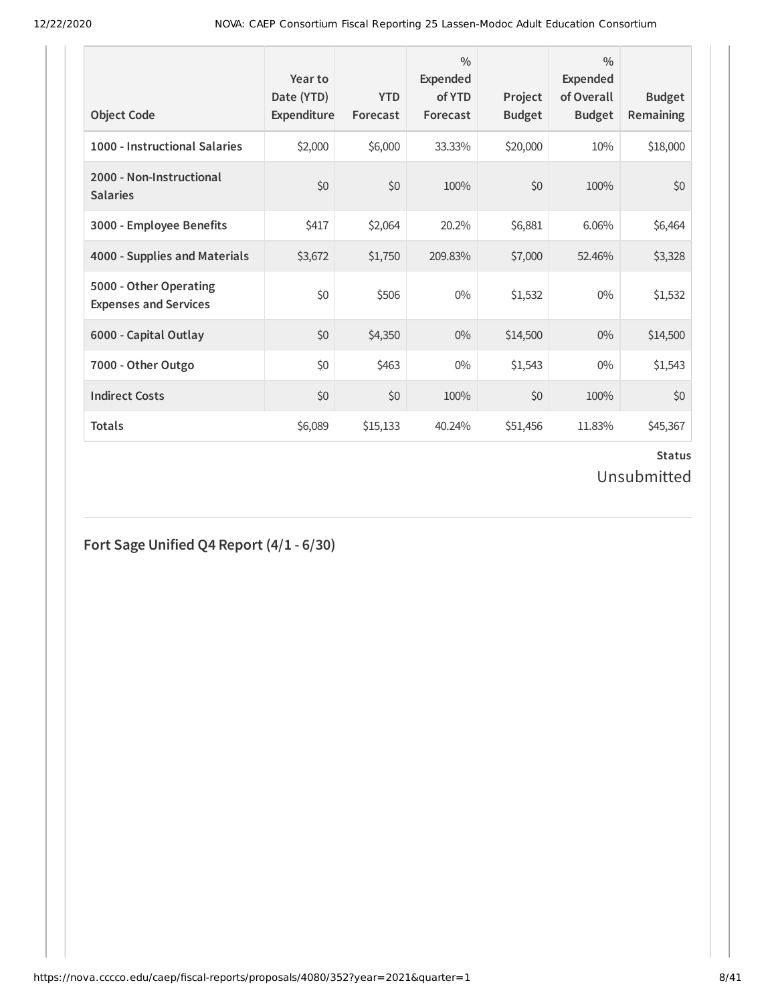| <b>Object Code</b>                                     | Year to<br>Date (YTD)<br>Expenditure | <b>YTD</b><br>Forecast | $\frac{0}{0}$<br><b>Expended</b><br>of YTD<br>Forecast | Project<br><b>Budget</b> | $\frac{0}{0}$<br>Expended<br>of Overall<br><b>Budget</b> | <b>Budget</b><br><b>Remaining</b> |
|--------------------------------------------------------|--------------------------------------|------------------------|--------------------------------------------------------|--------------------------|----------------------------------------------------------|-----------------------------------|
| 1000 - Instructional Salaries                          | \$2,000                              | \$6,000                | 33.33%                                                 | \$20,000                 | 10%                                                      | \$18,000                          |
| 2000 - Non-Instructional<br><b>Salaries</b>            | \$0                                  | \$0                    | 100%                                                   | \$0                      | 100%                                                     | \$0                               |
| 3000 - Employee Benefits                               | \$417                                | \$2,064                | 20.2%                                                  | \$6,881                  | 6.06%                                                    | \$6,464                           |
| 4000 - Supplies and Materials                          | \$3,672                              | \$1,750                | 209.83%                                                | \$7,000                  | 52.46%                                                   | \$3,328                           |
| 5000 - Other Operating<br><b>Expenses and Services</b> | \$0                                  | \$506                  | $0\%$                                                  | \$1,532                  | $0\%$                                                    | \$1,532                           |
| 6000 - Capital Outlay                                  | \$0                                  | \$4,350                | $0\%$                                                  | \$14,500                 | $0\%$                                                    | \$14,500                          |
| 7000 - Other Outgo                                     | \$0                                  | \$463                  | $0\%$                                                  | \$1,543                  | $0\%$                                                    | \$1,543                           |
| <b>Indirect Costs</b>                                  | \$0                                  | \$0                    | 100%                                                   | \$0                      | 100%                                                     | \$0                               |
| <b>Totals</b>                                          | \$6,089                              | \$15,133               | 40.24%                                                 | \$51,456                 | 11.83%                                                   | \$45,367                          |

# **Fort Sage Unified Q4 Report (4/1 - 6/30)**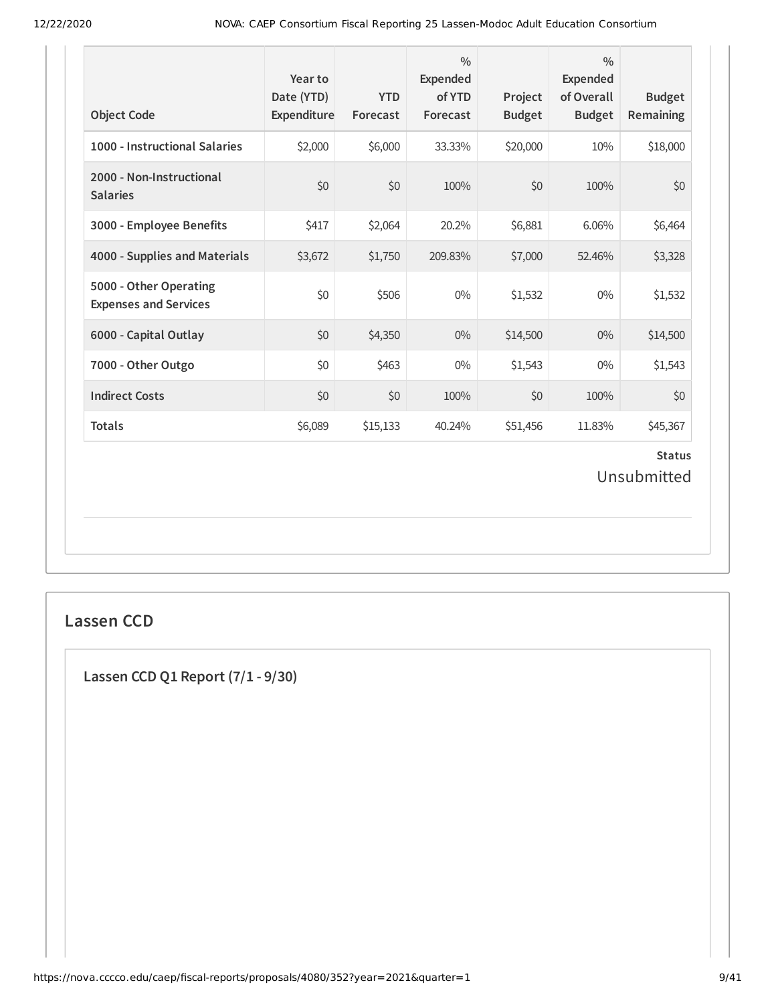| <b>Object Code</b>                                     | Year to<br>Date (YTD)<br>Expenditure | <b>YTD</b><br>Forecast | $\frac{0}{0}$<br>Expended<br>of YTD<br>Forecast | Project<br><b>Budget</b> | $\frac{0}{0}$<br><b>Expended</b><br>of Overall<br><b>Budget</b> | <b>Budget</b><br>Remaining   |
|--------------------------------------------------------|--------------------------------------|------------------------|-------------------------------------------------|--------------------------|-----------------------------------------------------------------|------------------------------|
| 1000 - Instructional Salaries                          | \$2,000                              | \$6,000                | 33.33%                                          | \$20,000                 | 10%                                                             | \$18,000                     |
| 2000 - Non-Instructional<br><b>Salaries</b>            | \$0                                  | \$0                    | 100%                                            | \$0                      | 100%                                                            | \$0                          |
| 3000 - Employee Benefits                               | \$417                                | \$2,064                | 20.2%                                           | \$6,881                  | 6.06%                                                           | \$6,464                      |
| 4000 - Supplies and Materials                          | \$3,672                              | \$1,750                | 209.83%                                         | \$7,000                  | 52.46%                                                          | \$3,328                      |
| 5000 - Other Operating<br><b>Expenses and Services</b> | \$0                                  | \$506                  | $0\%$                                           | \$1,532                  | $0\%$                                                           | \$1,532                      |
| 6000 - Capital Outlay                                  | \$0                                  | \$4,350                | $0\%$                                           | \$14,500                 | 0%                                                              | \$14,500                     |
| 7000 - Other Outgo                                     | \$0                                  | \$463                  | $0\%$                                           | \$1,543                  | 0%                                                              | \$1,543                      |
| <b>Indirect Costs</b>                                  | \$0                                  | \$0                    | 100%                                            | \$0                      | 100%                                                            | \$0                          |
| <b>Totals</b>                                          | \$6,089                              | \$15,133               | 40.24%                                          | \$51,456                 | 11.83%                                                          | \$45,367                     |
|                                                        |                                      |                        |                                                 |                          |                                                                 | <b>Status</b><br>Unsubmitted |

# **Lassen CCD**

**Lassen CCD Q1 Report (7/1 - 9/30)**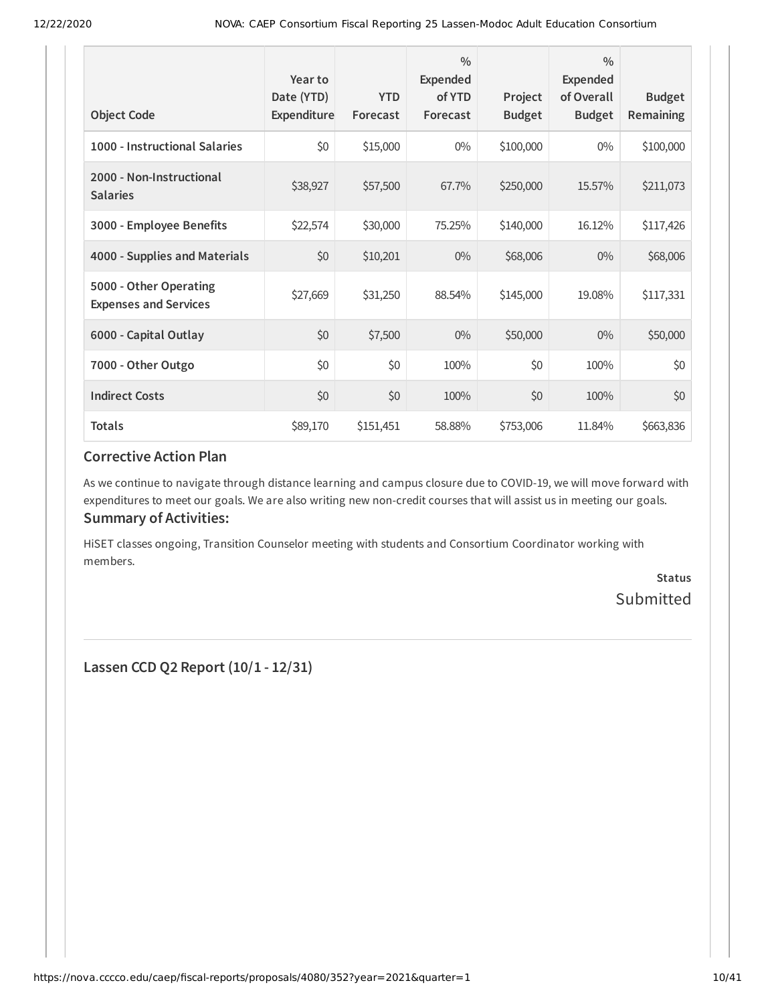| <b>Object Code</b>                                     | Year to<br>Date (YTD)<br>Expenditure | <b>YTD</b><br>Forecast | $\frac{0}{0}$<br>Expended<br>of YTD<br>Forecast | Project<br><b>Budget</b> | $\frac{0}{0}$<br><b>Expended</b><br>of Overall<br><b>Budget</b> | <b>Budget</b><br>Remaining |
|--------------------------------------------------------|--------------------------------------|------------------------|-------------------------------------------------|--------------------------|-----------------------------------------------------------------|----------------------------|
| 1000 - Instructional Salaries                          | \$0                                  | \$15,000               | $0\%$                                           | \$100,000                | $0\%$                                                           | \$100,000                  |
| 2000 - Non-Instructional<br><b>Salaries</b>            | \$38,927                             | \$57,500               | 67.7%                                           | \$250,000                | 15.57%                                                          | \$211,073                  |
| 3000 - Employee Benefits                               | \$22,574                             | \$30,000               | 75.25%                                          | \$140,000                | 16.12%                                                          | \$117,426                  |
| 4000 - Supplies and Materials                          | \$0                                  | \$10,201               | $0\%$                                           | \$68,006                 | $0\%$                                                           | \$68,006                   |
| 5000 - Other Operating<br><b>Expenses and Services</b> | \$27,669                             | \$31,250               | 88.54%                                          | \$145,000                | 19.08%                                                          | \$117,331                  |
| 6000 - Capital Outlay                                  | \$0                                  | \$7,500                | $0\%$                                           | \$50,000                 | $0\%$                                                           | \$50,000                   |
| 7000 - Other Outgo                                     | \$0                                  | \$0                    | 100%                                            | \$0                      | 100%                                                            | \$0                        |
| <b>Indirect Costs</b>                                  | \$0                                  | \$0                    | 100%                                            | \$0                      | 100%                                                            | \$0                        |
| <b>Totals</b>                                          | \$89,170                             | \$151,451              | 58.88%                                          | \$753,006                | 11.84%                                                          | \$663,836                  |

As we continue to navigate through distance learning and campus closure due to COVID-19, we will move forward with expenditures to meet our goals. We are also writing new non-credit courses that will assist us in meeting our goals. **Summary of Activities:**

HiSET classes ongoing, Transition Counselor meeting with students and Consortium Coordinator working with members.

> **Status** Submitted

**Lassen CCD Q2 Report (10/1 - 12/31)**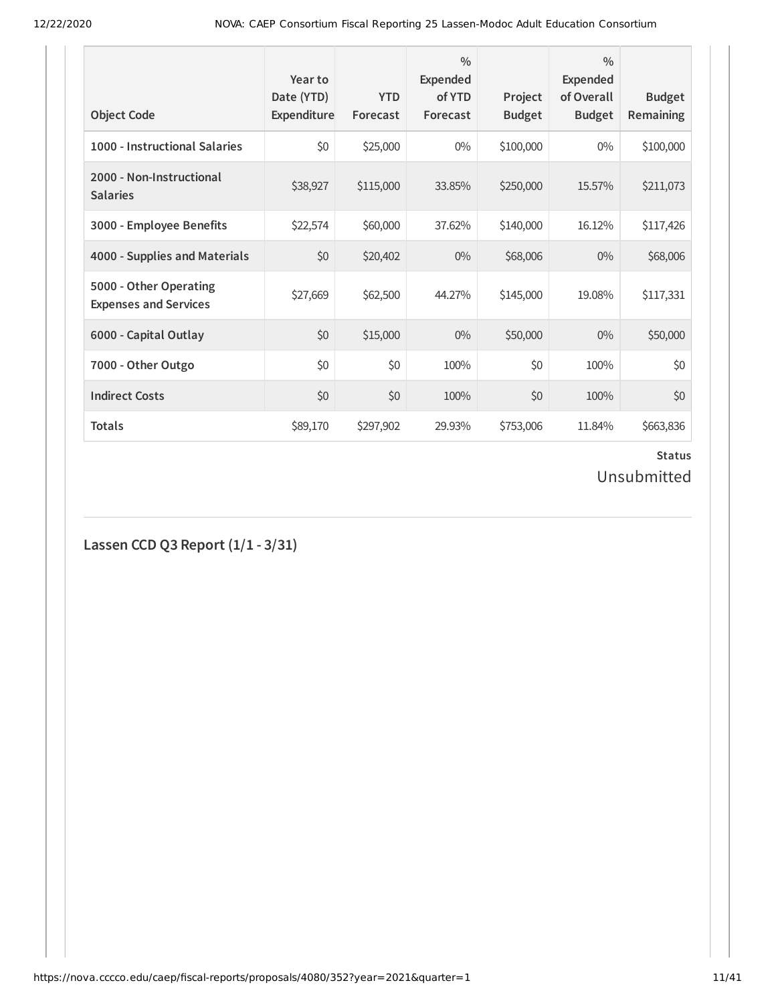| <b>Object Code</b>                                     | Year to<br>Date (YTD)<br>Expenditure | <b>YTD</b><br>Forecast | $\frac{0}{0}$<br>Expended<br>of YTD<br>Forecast | Project<br><b>Budget</b> | $\frac{0}{0}$<br>Expended<br>of Overall<br><b>Budget</b> | <b>Budget</b><br><b>Remaining</b> |
|--------------------------------------------------------|--------------------------------------|------------------------|-------------------------------------------------|--------------------------|----------------------------------------------------------|-----------------------------------|
| 1000 - Instructional Salaries                          | \$0                                  | \$25,000               | $0\%$                                           | \$100,000                | $0\%$                                                    | \$100,000                         |
| 2000 - Non-Instructional<br><b>Salaries</b>            | \$38,927                             | \$115,000              | 33.85%                                          | \$250,000                | 15.57%                                                   | \$211,073                         |
| 3000 - Employee Benefits                               | \$22,574                             | \$60,000               | 37.62%                                          | \$140,000                | 16.12%                                                   | \$117,426                         |
| 4000 - Supplies and Materials                          | \$0                                  | \$20,402               | $0\%$                                           | \$68,006                 | $0\%$                                                    | \$68,006                          |
| 5000 - Other Operating<br><b>Expenses and Services</b> | \$27,669                             | \$62,500               | 44.27%                                          | \$145,000                | 19.08%                                                   | \$117,331                         |
| 6000 - Capital Outlay                                  | \$0                                  | \$15,000               | $0\%$                                           | \$50,000                 | $0\%$                                                    | \$50,000                          |
| 7000 - Other Outgo                                     | \$0                                  | \$0                    | 100%                                            | \$0                      | 100%                                                     | \$0                               |
| <b>Indirect Costs</b>                                  | \$0                                  | \$0                    | 100%                                            | \$0                      | 100%                                                     | \$0                               |
| <b>Totals</b>                                          | \$89,170                             | \$297,902              | 29.93%                                          | \$753,006                | 11.84%                                                   | \$663,836                         |

# **Status**

Unsubmitted

**Lassen CCD Q3 Report (1/1 - 3/31)**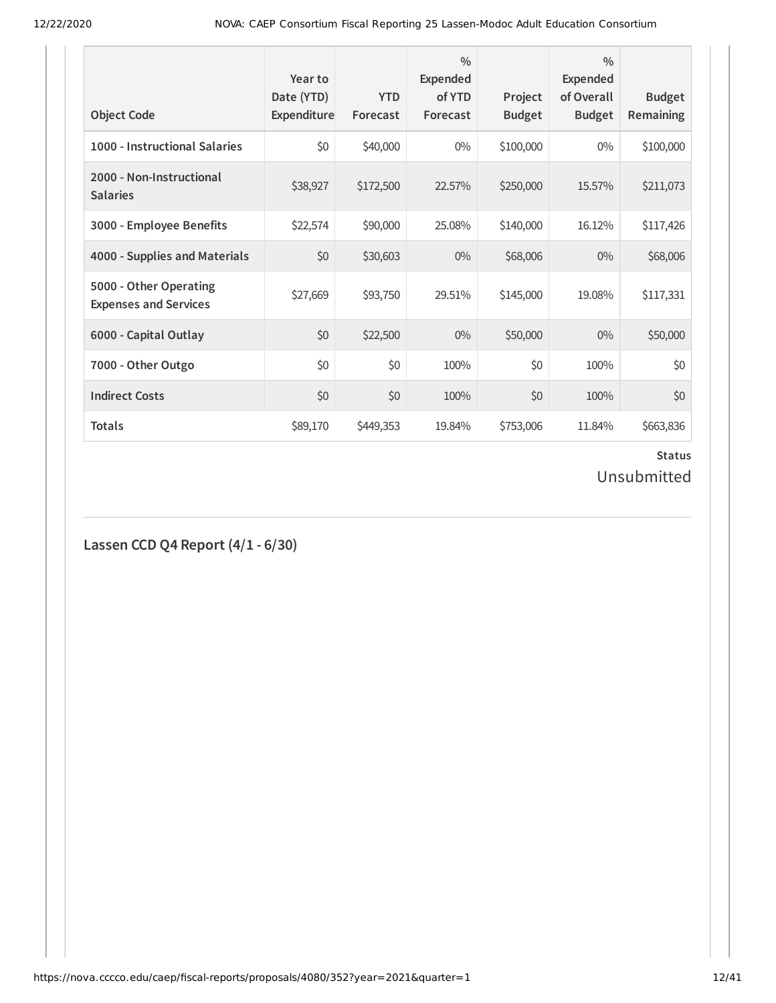| <b>Object Code</b>                                     | Year to<br>Date (YTD)<br>Expenditure | <b>YTD</b><br>Forecast | $\frac{0}{0}$<br>Expended<br>of YTD<br>Forecast | Project<br><b>Budget</b> | $\frac{0}{0}$<br><b>Expended</b><br>of Overall<br><b>Budget</b> | <b>Budget</b><br>Remaining |
|--------------------------------------------------------|--------------------------------------|------------------------|-------------------------------------------------|--------------------------|-----------------------------------------------------------------|----------------------------|
| 1000 - Instructional Salaries                          | \$0                                  | \$40,000               | $0\%$                                           | \$100,000                | $0\%$                                                           | \$100,000                  |
| 2000 - Non-Instructional<br><b>Salaries</b>            | \$38,927                             | \$172,500              | 22.57%                                          | \$250,000                | 15.57%                                                          | \$211,073                  |
| 3000 - Employee Benefits                               | \$22,574                             | \$90,000               | 25.08%                                          | \$140,000                | 16.12%                                                          | \$117,426                  |
| 4000 - Supplies and Materials                          | \$0                                  | \$30,603               | $0\%$                                           | \$68,006                 | $0\%$                                                           | \$68,006                   |
| 5000 - Other Operating<br><b>Expenses and Services</b> | \$27,669                             | \$93,750               | 29.51%                                          | \$145,000                | 19.08%                                                          | \$117,331                  |
| 6000 - Capital Outlay                                  | \$0                                  | \$22,500               | $0\%$                                           | \$50,000                 | $0\%$                                                           | \$50,000                   |
| 7000 - Other Outgo                                     | \$0                                  | \$0                    | 100%                                            | \$0                      | 100%                                                            | \$0                        |
| <b>Indirect Costs</b>                                  | \$0                                  | \$0                    | 100%                                            | \$0                      | 100%                                                            | \$0                        |
| <b>Totals</b>                                          | \$89,170                             | \$449,353              | 19.84%                                          | \$753,006                | 11.84%                                                          | \$663,836                  |

# **Status**

Unsubmitted

**Lassen CCD Q4 Report (4/1 - 6/30)**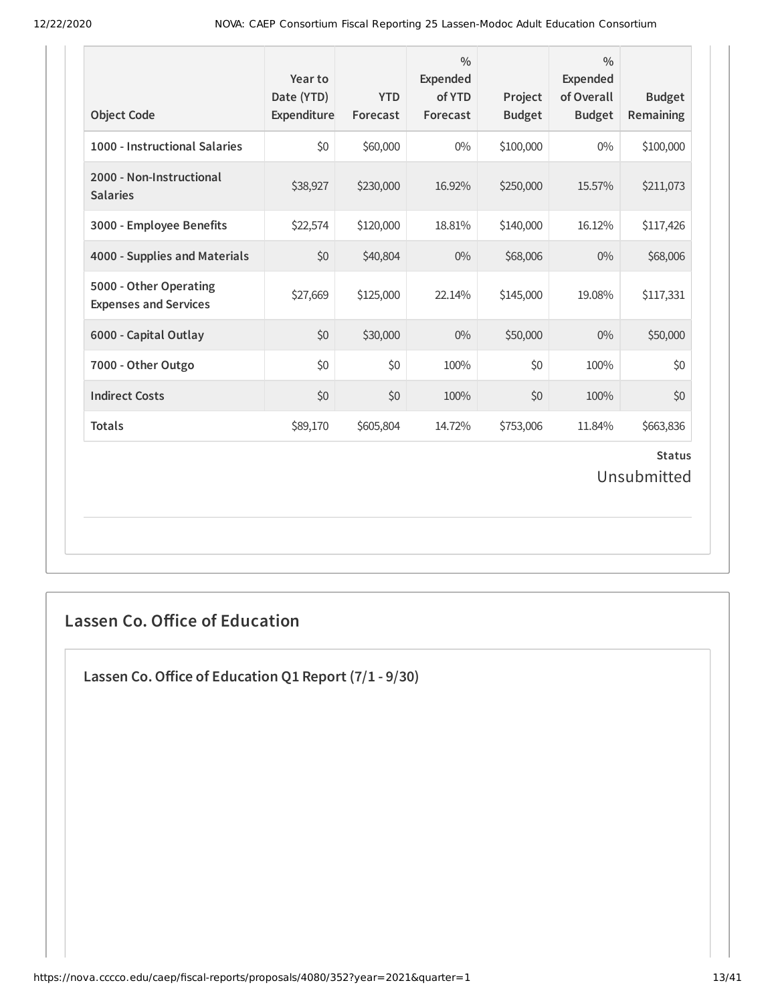| <b>Object Code</b>                                     | Year to<br>Date (YTD)<br>Expenditure | <b>YTD</b><br>Forecast | $\frac{0}{0}$<br><b>Expended</b><br>of YTD<br>Forecast | Project<br><b>Budget</b> | $\frac{0}{0}$<br><b>Expended</b><br>of Overall<br><b>Budget</b> | <b>Budget</b><br>Remaining   |
|--------------------------------------------------------|--------------------------------------|------------------------|--------------------------------------------------------|--------------------------|-----------------------------------------------------------------|------------------------------|
| 1000 - Instructional Salaries                          | \$0                                  | \$60,000               | $0\%$                                                  | \$100,000                | $0\%$                                                           | \$100,000                    |
| 2000 - Non-Instructional<br><b>Salaries</b>            | \$38,927                             | \$230,000              | 16.92%                                                 | \$250,000                | 15.57%                                                          | \$211,073                    |
| 3000 - Employee Benefits                               | \$22,574                             | \$120,000              | 18.81%                                                 | \$140,000                | 16.12%                                                          | \$117,426                    |
| 4000 - Supplies and Materials                          | \$0                                  | \$40,804               | $0\%$                                                  | \$68,006                 | $0\%$                                                           | \$68,006                     |
| 5000 - Other Operating<br><b>Expenses and Services</b> | \$27,669                             | \$125,000              | 22.14%                                                 | \$145,000                | 19.08%                                                          | \$117,331                    |
| 6000 - Capital Outlay                                  | \$0                                  | \$30,000               | $0\%$                                                  | \$50,000                 | $0\%$                                                           | \$50,000                     |
| 7000 - Other Outgo                                     | \$0                                  | \$0                    | 100%                                                   | \$0                      | 100%                                                            | \$0                          |
| <b>Indirect Costs</b>                                  | \$0                                  | \$0                    | 100%                                                   | \$0                      | 100%                                                            | \$0                          |
| <b>Totals</b>                                          | \$89,170                             | \$605,804              | 14.72%                                                 | \$753,006                | 11.84%                                                          | \$663,836                    |
|                                                        |                                      |                        |                                                        |                          |                                                                 | <b>Status</b><br>Unsubmitted |

# **Lassen Co. Office of Education**

**Lassen Co.Oice of Education Q1 Report (7/1 - 9/30)**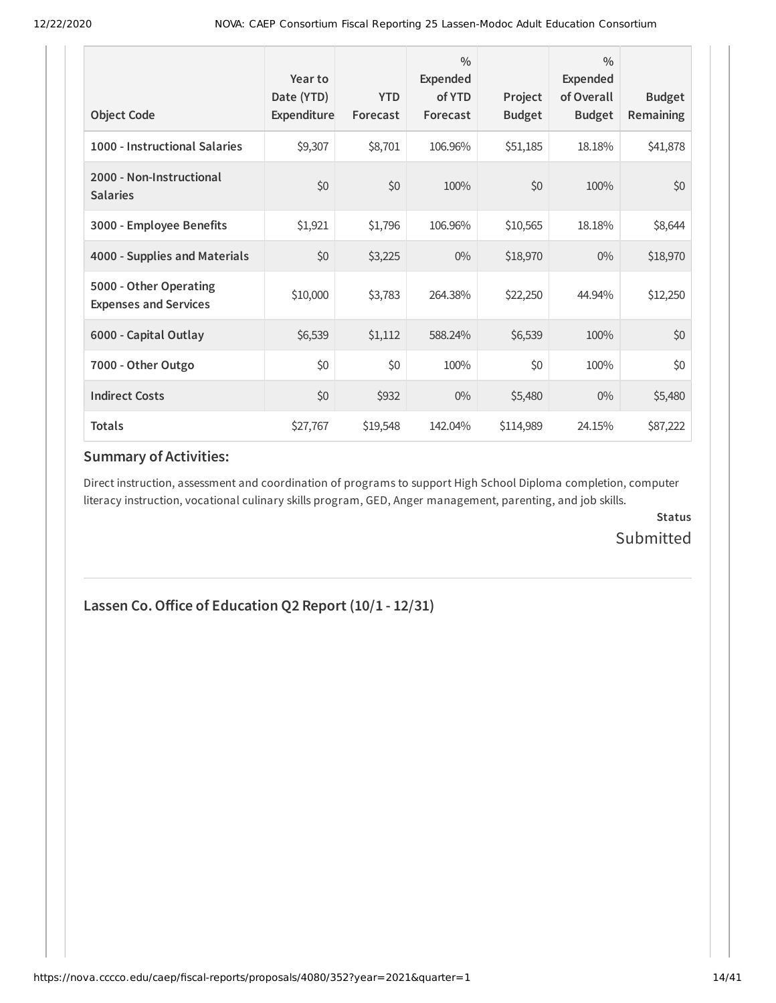| <b>Object Code</b>                                     | Year to<br>Date (YTD)<br>Expenditure | <b>YTD</b><br>Forecast | $\frac{0}{0}$<br>Expended<br>of YTD<br>Forecast | Project<br><b>Budget</b> | $\frac{0}{0}$<br><b>Expended</b><br>of Overall<br><b>Budget</b> | <b>Budget</b><br>Remaining |
|--------------------------------------------------------|--------------------------------------|------------------------|-------------------------------------------------|--------------------------|-----------------------------------------------------------------|----------------------------|
| 1000 - Instructional Salaries                          | \$9,307                              | \$8,701                | 106.96%                                         | \$51,185                 | 18.18%                                                          | \$41,878                   |
| 2000 - Non-Instructional<br><b>Salaries</b>            | \$0                                  | \$0                    | 100%                                            | \$0                      | 100%                                                            | \$0                        |
| 3000 - Employee Benefits                               | \$1,921                              | \$1,796                | 106.96%                                         | \$10,565                 | 18.18%                                                          | \$8,644                    |
| 4000 - Supplies and Materials                          | \$0                                  | \$3,225                | $0\%$                                           | \$18,970                 | $0\%$                                                           | \$18,970                   |
| 5000 - Other Operating<br><b>Expenses and Services</b> | \$10,000                             | \$3,783                | 264.38%                                         | \$22,250                 | 44.94%                                                          | \$12,250                   |
| 6000 - Capital Outlay                                  | \$6,539                              | \$1,112                | 588.24%                                         | \$6,539                  | 100%                                                            | \$0                        |
| 7000 - Other Outgo                                     | \$0                                  | \$0                    | 100%                                            | \$0                      | 100%                                                            | \$0                        |
| <b>Indirect Costs</b>                                  | \$0                                  | \$932                  | $0\%$                                           | \$5,480                  | $0\%$                                                           | \$5,480                    |
| <b>Totals</b>                                          | \$27,767                             | \$19,548               | 142.04%                                         | \$114,989                | 24.15%                                                          | \$87,222                   |

### **Summary of Activities:**

Direct instruction, assessment and coordination of programs to support High School Diploma completion, computer literacy instruction, vocational culinary skills program, GED, Anger management, parenting, and job skills.

> **Status** Submitted

## **Lassen Co.Oice of Education Q2 Report (10/1 - 12/31)**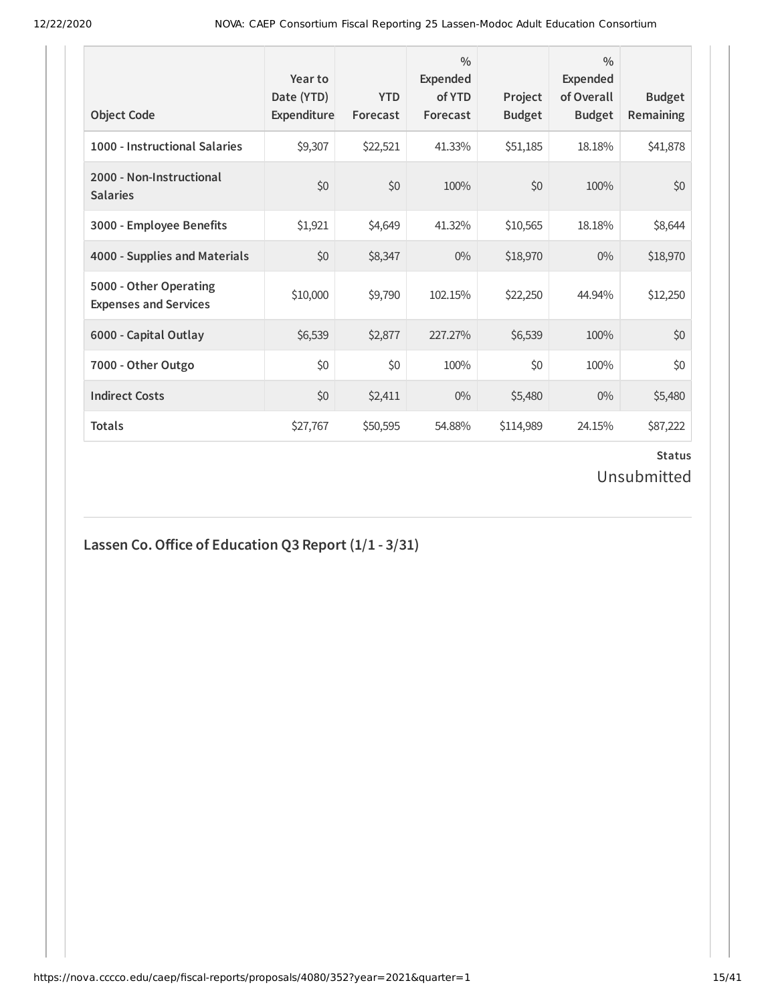| <b>Object Code</b>                                     | Year to<br>Date (YTD)<br>Expenditure | <b>YTD</b><br>Forecast | $\frac{0}{0}$<br>Expended<br>of YTD<br>Forecast | Project<br><b>Budget</b> | $\frac{0}{0}$<br>Expended<br>of Overall<br><b>Budget</b> | <b>Budget</b><br>Remaining |
|--------------------------------------------------------|--------------------------------------|------------------------|-------------------------------------------------|--------------------------|----------------------------------------------------------|----------------------------|
| 1000 - Instructional Salaries                          | \$9,307                              | \$22,521               | 41.33%                                          | \$51,185                 | 18.18%                                                   | \$41,878                   |
| 2000 - Non-Instructional<br><b>Salaries</b>            | \$0                                  | \$0                    | 100%                                            | \$0                      | 100%                                                     | \$0                        |
| 3000 - Employee Benefits                               | \$1,921                              | \$4,649                | 41.32%                                          | \$10,565                 | 18.18%                                                   | \$8,644                    |
| 4000 - Supplies and Materials                          | \$0                                  | \$8,347                | $0\%$                                           | \$18,970                 | $0\%$                                                    | \$18,970                   |
| 5000 - Other Operating<br><b>Expenses and Services</b> | \$10,000                             | \$9,790                | 102.15%                                         | \$22,250                 | 44.94%                                                   | \$12,250                   |
| 6000 - Capital Outlay                                  | \$6,539                              | \$2,877                | 227.27%                                         | \$6,539                  | 100%                                                     | \$0                        |
| 7000 - Other Outgo                                     | \$0                                  | \$0                    | 100%                                            | \$0                      | 100%                                                     | \$0                        |
| <b>Indirect Costs</b>                                  | \$0                                  | \$2,411                | $0\%$                                           | \$5,480                  | $0\%$                                                    | \$5,480                    |
| <b>Totals</b>                                          | \$27,767                             | \$50,595               | 54.88%                                          | \$114,989                | 24.15%                                                   | \$87,222                   |

# **Lassen Co.Oice of Education Q3 Report (1/1 - 3/31)**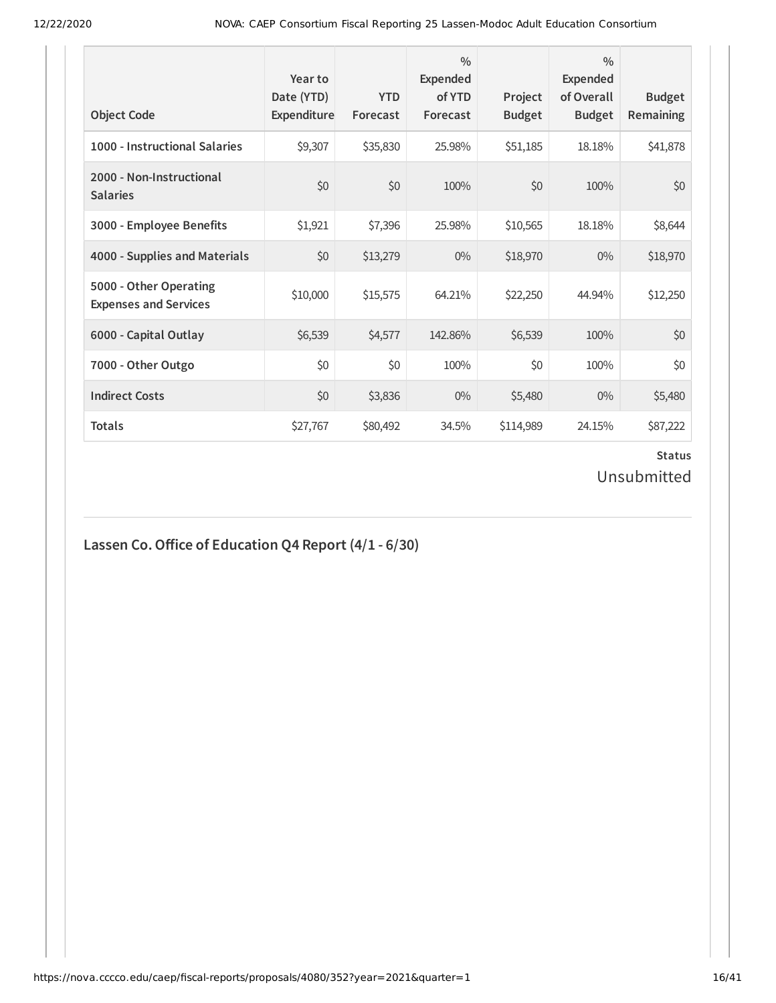| <b>Object Code</b>                                     | Year to<br>Date (YTD)<br>Expenditure | <b>YTD</b><br>Forecast | $\frac{0}{0}$<br>Expended<br>of YTD<br>Forecast | Project<br><b>Budget</b> | $\frac{0}{0}$<br>Expended<br>of Overall<br><b>Budget</b> | <b>Budget</b><br><b>Remaining</b> |
|--------------------------------------------------------|--------------------------------------|------------------------|-------------------------------------------------|--------------------------|----------------------------------------------------------|-----------------------------------|
| 1000 - Instructional Salaries                          | \$9,307                              | \$35,830               | 25.98%                                          | \$51,185                 | 18.18%                                                   | \$41,878                          |
| 2000 - Non-Instructional<br><b>Salaries</b>            | \$0                                  | \$0                    | 100%                                            | \$0                      | 100%                                                     | \$0                               |
| 3000 - Employee Benefits                               | \$1,921                              | \$7,396                | 25.98%                                          | \$10,565                 | 18.18%                                                   | \$8,644                           |
| 4000 - Supplies and Materials                          | \$0                                  | \$13,279               | $0\%$                                           | \$18,970                 | $0\%$                                                    | \$18,970                          |
| 5000 - Other Operating<br><b>Expenses and Services</b> | \$10,000                             | \$15,575               | 64.21%                                          | \$22,250                 | 44.94%                                                   | \$12,250                          |
| 6000 - Capital Outlay                                  | \$6,539                              | \$4,577                | 142.86%                                         | \$6,539                  | 100%                                                     | \$0                               |
| 7000 - Other Outgo                                     | \$0                                  | \$0                    | 100%                                            | \$0                      | 100%                                                     | \$0                               |
| <b>Indirect Costs</b>                                  | \$0                                  | \$3,836                | $0\%$                                           | \$5,480                  | $0\%$                                                    | \$5,480                           |
| <b>Totals</b>                                          | \$27,767                             | \$80,492               | 34.5%                                           | \$114,989                | 24.15%                                                   | \$87,222                          |

# **Lassen Co.Oice of Education Q4 Report (4/1 - 6/30)**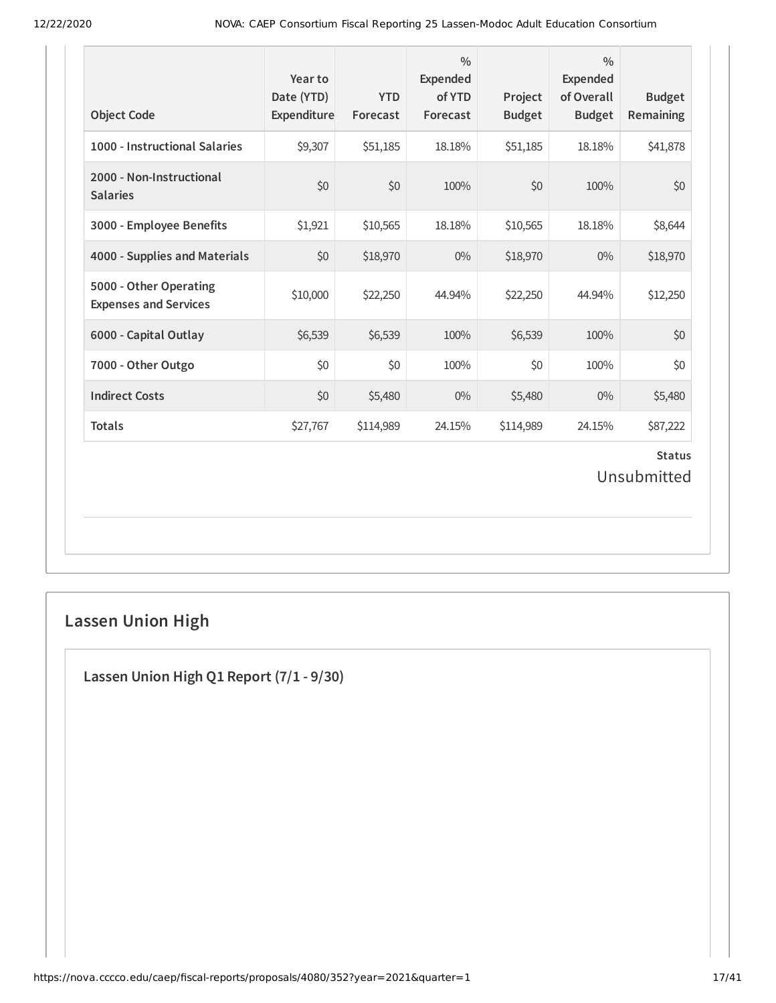| <b>Object Code</b>                                     | Year to<br>Date (YTD)<br>Expenditure | <b>YTD</b><br>Forecast | $\frac{0}{0}$<br><b>Expended</b><br>of YTD<br>Forecast | Project<br><b>Budget</b> | $\frac{0}{0}$<br><b>Expended</b><br>of Overall<br><b>Budget</b> | <b>Budget</b><br>Remaining   |
|--------------------------------------------------------|--------------------------------------|------------------------|--------------------------------------------------------|--------------------------|-----------------------------------------------------------------|------------------------------|
| 1000 - Instructional Salaries                          | \$9,307                              | \$51,185               | 18.18%                                                 | \$51,185                 | 18.18%                                                          | \$41,878                     |
| 2000 - Non-Instructional<br><b>Salaries</b>            | \$0                                  | \$0                    | 100%                                                   | \$0                      | 100%                                                            | \$0                          |
| 3000 - Employee Benefits                               | \$1,921                              | \$10,565               | 18.18%                                                 | \$10,565                 | 18.18%                                                          | \$8,644                      |
| 4000 - Supplies and Materials                          | \$0                                  | \$18,970               | $0\%$                                                  | \$18,970                 | $0\%$                                                           | \$18,970                     |
| 5000 - Other Operating<br><b>Expenses and Services</b> | \$10,000                             | \$22,250               | 44.94%                                                 | \$22,250                 | 44.94%                                                          | \$12,250                     |
| 6000 - Capital Outlay                                  | \$6,539                              | \$6,539                | 100%                                                   | \$6,539                  | 100%                                                            | \$0                          |
| 7000 - Other Outgo                                     | \$0                                  | \$0                    | 100%                                                   | \$0                      | 100%                                                            | \$0                          |
| <b>Indirect Costs</b>                                  | \$0                                  | \$5,480                | $0\%$                                                  | \$5,480                  | 0%                                                              | \$5,480                      |
| <b>Totals</b>                                          | \$27,767                             | \$114,989              | 24.15%                                                 | \$114,989                | 24.15%                                                          | \$87,222                     |
|                                                        |                                      |                        |                                                        |                          |                                                                 | <b>Status</b><br>Unsubmitted |

# **Lassen Union High**

**Lassen Union High Q1 Report (7/1 - 9/30)**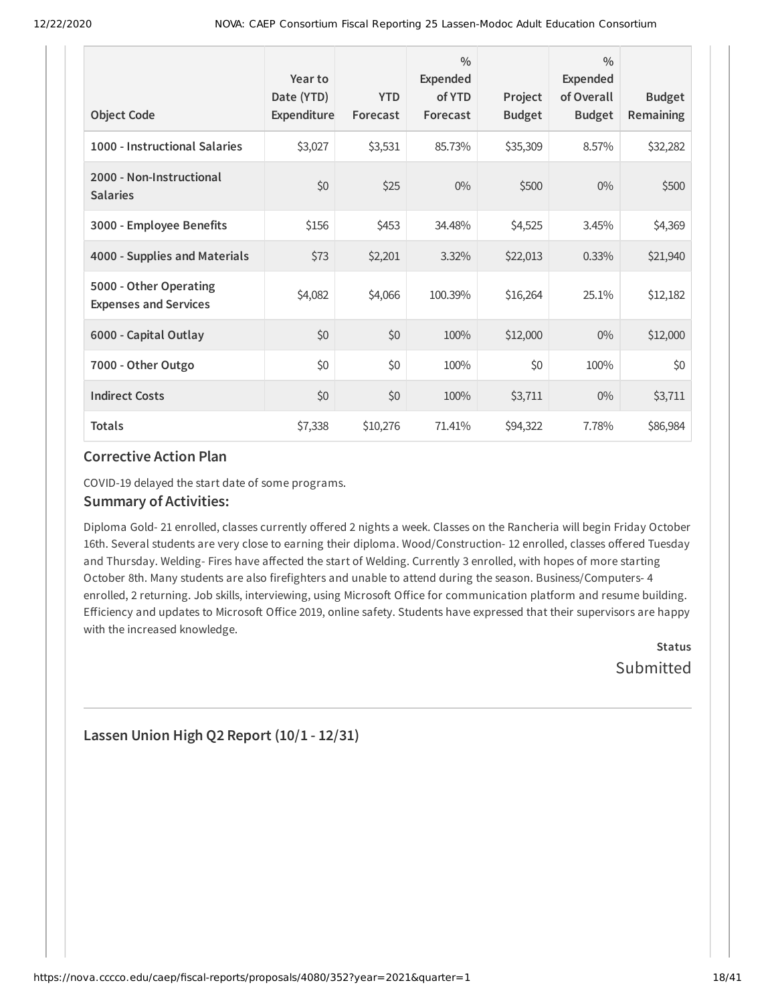| <b>Object Code</b>                                     | Year to<br>Date (YTD)<br>Expenditure | <b>YTD</b><br>Forecast | $\frac{0}{0}$<br>Expended<br>of YTD<br>Forecast | Project<br><b>Budget</b> | $\frac{0}{0}$<br><b>Expended</b><br>of Overall<br><b>Budget</b> | <b>Budget</b><br>Remaining |
|--------------------------------------------------------|--------------------------------------|------------------------|-------------------------------------------------|--------------------------|-----------------------------------------------------------------|----------------------------|
| 1000 - Instructional Salaries                          | \$3,027                              | \$3,531                | 85.73%                                          | \$35,309                 | 8.57%                                                           | \$32,282                   |
| 2000 - Non-Instructional<br><b>Salaries</b>            | \$0                                  | \$25                   | $0\%$                                           | \$500                    | $0\%$                                                           | \$500                      |
| 3000 - Employee Benefits                               | \$156                                | \$453                  | 34.48%                                          | \$4,525                  | 3.45%                                                           | \$4,369                    |
| 4000 - Supplies and Materials                          | \$73                                 | \$2,201                | 3.32%                                           | \$22,013                 | 0.33%                                                           | \$21,940                   |
| 5000 - Other Operating<br><b>Expenses and Services</b> | \$4,082                              | \$4,066                | 100.39%                                         | \$16,264                 | 25.1%                                                           | \$12,182                   |
| 6000 - Capital Outlay                                  | \$0                                  | \$0                    | 100%                                            | \$12,000                 | $0\%$                                                           | \$12,000                   |
| 7000 - Other Outgo                                     | \$0                                  | \$0                    | 100%                                            | \$0                      | 100%                                                            | \$0                        |
| <b>Indirect Costs</b>                                  | \$0                                  | \$0                    | 100%                                            | \$3,711                  | $0\%$                                                           | \$3,711                    |
| <b>Totals</b>                                          | \$7,338                              | \$10,276               | 71.41%                                          | \$94,322                 | 7.78%                                                           | \$86,984                   |

COVID-19 delayed the start date of some programs.

#### **Summary of Activities:**

Diploma Gold- 21 enrolled, classes currently offered 2 nights a week. Classes on the Rancheria will begin Friday October 16th. Several students are very close to earning their diploma. Wood/Construction-12 enrolled, classes offered Tuesday and Thursday. Welding- Fires have affected the start of Welding. Currently 3 enrolled, with hopes of more starting October 8th. Many students are also firefighters and unable to attend during the season. Business/Computers- 4 enrolled, 2 returning. Job skills, interviewing, using Microsoft Office for communication platform and resume building. Efficiency and updates to Microsoft Office 2019, online safety. Students have expressed that their supervisors are happy with the increased knowledge.

> **Status Submitted**

**Lassen Union High Q2 Report (10/1 - 12/31)**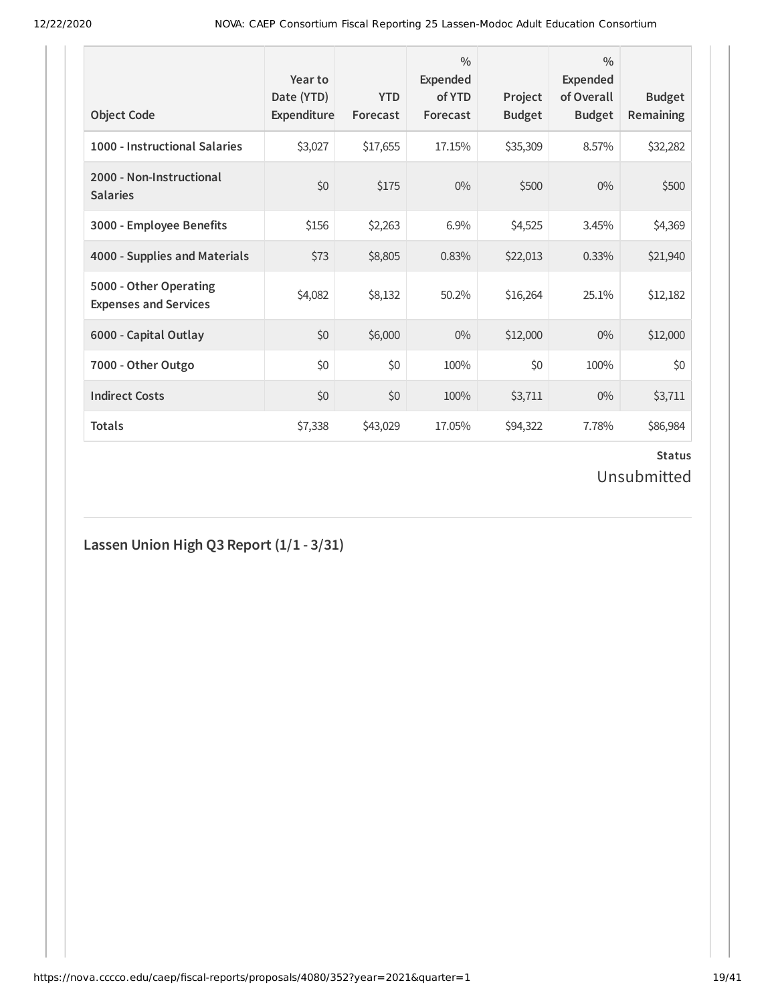| <b>Object Code</b>                                     | Year to<br>Date (YTD)<br>Expenditure | <b>YTD</b><br>Forecast | $\frac{0}{0}$<br>Expended<br>of YTD<br>Forecast | Project<br><b>Budget</b> | $\frac{0}{0}$<br>Expended<br>of Overall<br><b>Budget</b> | <b>Budget</b><br><b>Remaining</b> |
|--------------------------------------------------------|--------------------------------------|------------------------|-------------------------------------------------|--------------------------|----------------------------------------------------------|-----------------------------------|
| 1000 - Instructional Salaries                          | \$3,027                              | \$17,655               | 17.15%                                          | \$35,309                 | 8.57%                                                    | \$32,282                          |
| 2000 - Non-Instructional<br><b>Salaries</b>            | \$0                                  | \$175                  | $0\%$                                           | \$500                    | $0\%$                                                    | \$500                             |
| 3000 - Employee Benefits                               | \$156                                | \$2,263                | 6.9%                                            | \$4,525                  | 3.45%                                                    | \$4,369                           |
| 4000 - Supplies and Materials                          | \$73                                 | \$8,805                | 0.83%                                           | \$22,013                 | 0.33%                                                    | \$21,940                          |
| 5000 - Other Operating<br><b>Expenses and Services</b> | \$4,082                              | \$8,132                | 50.2%                                           | \$16,264                 | 25.1%                                                    | \$12,182                          |
| 6000 - Capital Outlay                                  | \$0                                  | \$6,000                | $0\%$                                           | \$12,000                 | $0\%$                                                    | \$12,000                          |
| 7000 - Other Outgo                                     | \$0                                  | \$0                    | 100%                                            | \$0                      | 100%                                                     | \$0                               |
| <b>Indirect Costs</b>                                  | \$0                                  | \$0                    | 100%                                            | \$3,711                  | $0\%$                                                    | \$3,711                           |
| <b>Totals</b>                                          | \$7,338                              | \$43,029               | 17.05%                                          | \$94,322                 | 7.78%                                                    | \$86,984                          |

# **Status**

# Unsubmitted

**Lassen Union High Q3 Report (1/1 - 3/31)**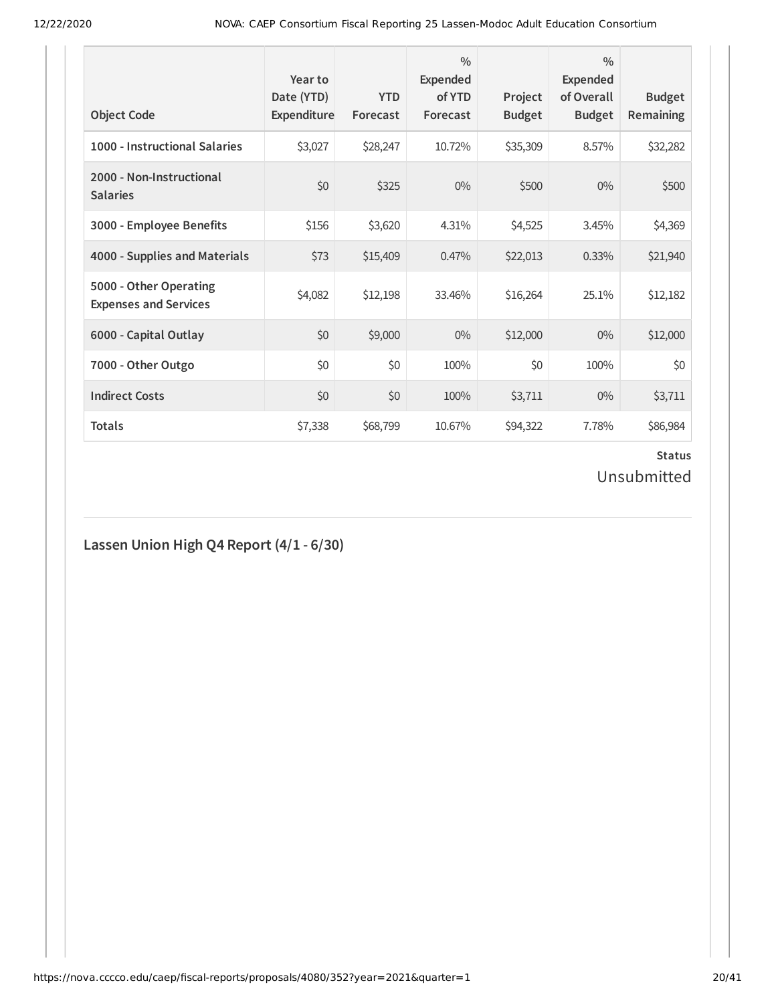| <b>Object Code</b>                                     | Year to<br>Date (YTD)<br>Expenditure | <b>YTD</b><br>Forecast | $\frac{0}{0}$<br>Expended<br>of YTD<br>Forecast | Project<br><b>Budget</b> | $\frac{0}{0}$<br>Expended<br>of Overall<br><b>Budget</b> | <b>Budget</b><br><b>Remaining</b> |
|--------------------------------------------------------|--------------------------------------|------------------------|-------------------------------------------------|--------------------------|----------------------------------------------------------|-----------------------------------|
| 1000 - Instructional Salaries                          | \$3,027                              | \$28,247               | 10.72%                                          | \$35,309                 | 8.57%                                                    | \$32,282                          |
| 2000 - Non-Instructional<br><b>Salaries</b>            | \$0                                  | \$325                  | $0\%$                                           | \$500                    | $0\%$                                                    | \$500                             |
| 3000 - Employee Benefits                               | \$156                                | \$3,620                | 4.31%                                           | \$4,525                  | 3.45%                                                    | \$4,369                           |
| 4000 - Supplies and Materials                          | \$73                                 | \$15,409               | 0.47%                                           | \$22,013                 | 0.33%                                                    | \$21,940                          |
| 5000 - Other Operating<br><b>Expenses and Services</b> | \$4,082                              | \$12,198               | 33.46%                                          | \$16,264                 | 25.1%                                                    | \$12,182                          |
| 6000 - Capital Outlay                                  | \$0                                  | \$9,000                | $0\%$                                           | \$12,000                 | $0\%$                                                    | \$12,000                          |
| 7000 - Other Outgo                                     | \$0                                  | \$0                    | 100%                                            | \$0                      | 100%                                                     | \$0                               |
| <b>Indirect Costs</b>                                  | \$0                                  | \$0                    | 100%                                            | \$3,711                  | $0\%$                                                    | \$3,711                           |
| <b>Totals</b>                                          | \$7,338                              | \$68,799               | 10.67%                                          | \$94,322                 | 7.78%                                                    | \$86,984                          |

# **Lassen Union High Q4 Report (4/1 - 6/30)**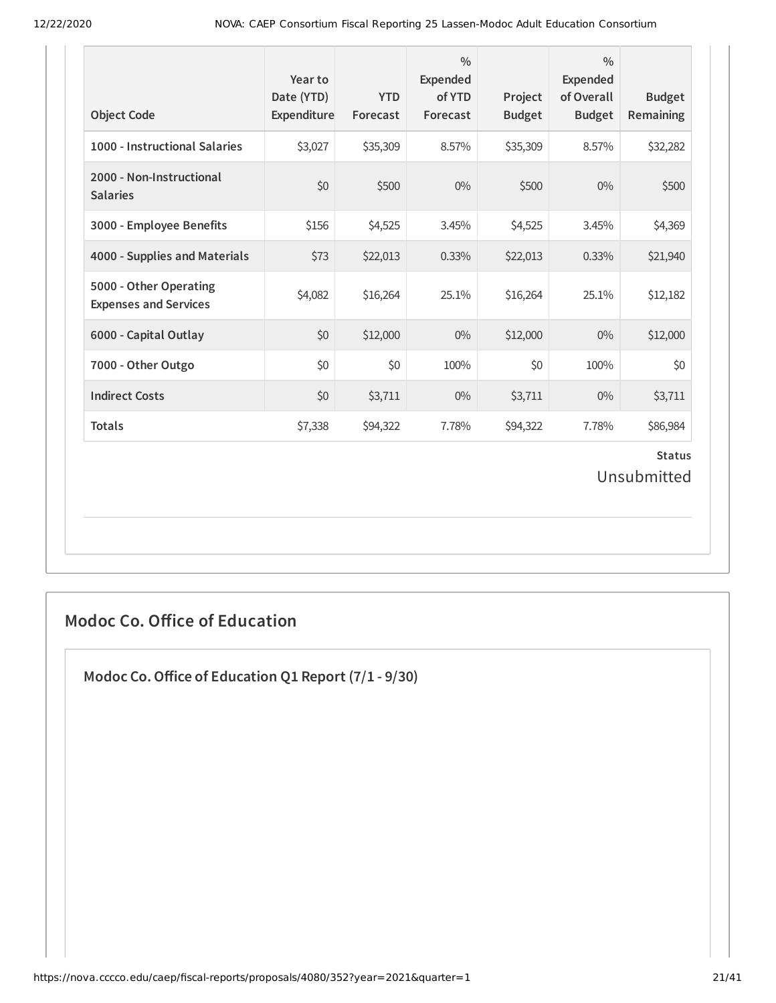| <b>Object Code</b>                                     | Year to<br>Date (YTD)<br>Expenditure | <b>YTD</b><br>Forecast | $\frac{0}{0}$<br>Expended<br>of YTD<br>Forecast | Project<br><b>Budget</b> | $\frac{0}{0}$<br><b>Expended</b><br>of Overall<br><b>Budget</b> | <b>Budget</b><br>Remaining   |
|--------------------------------------------------------|--------------------------------------|------------------------|-------------------------------------------------|--------------------------|-----------------------------------------------------------------|------------------------------|
| 1000 - Instructional Salaries                          | \$3,027                              | \$35,309               | 8.57%                                           | \$35,309                 | 8.57%                                                           | \$32,282                     |
| 2000 - Non-Instructional<br><b>Salaries</b>            | \$0                                  | \$500                  | $0\%$                                           | \$500                    | 0%                                                              | \$500                        |
| 3000 - Employee Benefits                               | \$156                                | \$4,525                | 3.45%                                           | \$4,525                  | 3.45%                                                           | \$4,369                      |
| 4000 - Supplies and Materials                          | \$73                                 | \$22,013               | 0.33%                                           | \$22,013                 | 0.33%                                                           | \$21,940                     |
| 5000 - Other Operating<br><b>Expenses and Services</b> | \$4,082                              | \$16,264               | 25.1%                                           | \$16,264                 | 25.1%                                                           | \$12,182                     |
| 6000 - Capital Outlay                                  | \$0                                  | \$12,000               | $0\%$                                           | \$12,000                 | $0\%$                                                           | \$12,000                     |
| 7000 - Other Outgo                                     | \$0                                  | \$0                    | 100%                                            | \$0                      | 100%                                                            | \$0                          |
| <b>Indirect Costs</b>                                  | \$0                                  | \$3,711                | $0\%$                                           | \$3,711                  | $0\%$                                                           | \$3,711                      |
| <b>Totals</b>                                          | \$7,338                              | \$94,322               | 7.78%                                           | \$94,322                 | 7.78%                                                           | \$86,984                     |
|                                                        |                                      |                        |                                                 |                          |                                                                 | <b>Status</b><br>Unsubmitted |

# **Modoc Co. Office of Education**

**Modoc Co.Oice of Education Q1 Report (7/1 - 9/30)**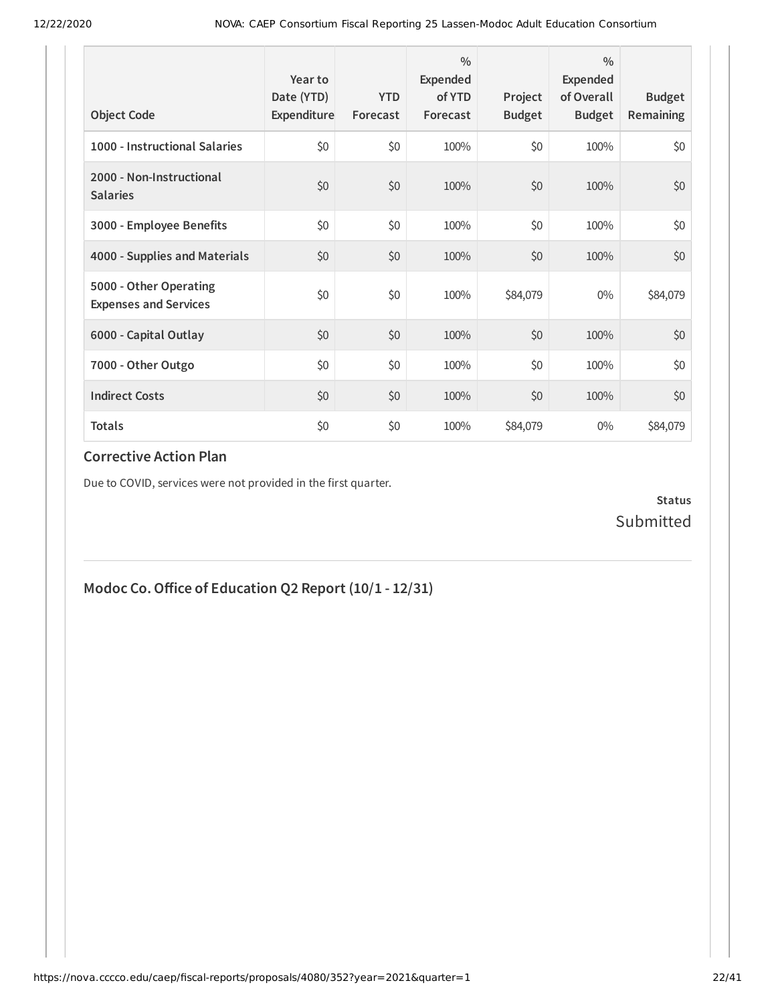| <b>Object Code</b>                                     | Year to<br>Date (YTD)<br>Expenditure | <b>YTD</b><br>Forecast | 0/0<br>Expended<br>of YTD<br>Forecast | Project<br><b>Budget</b> | $\frac{0}{0}$<br>Expended<br>of Overall<br><b>Budget</b> | <b>Budget</b><br>Remaining |
|--------------------------------------------------------|--------------------------------------|------------------------|---------------------------------------|--------------------------|----------------------------------------------------------|----------------------------|
| 1000 - Instructional Salaries                          | \$0                                  | \$0                    | 100%                                  | \$0                      | 100%                                                     | \$0                        |
| 2000 - Non-Instructional<br><b>Salaries</b>            | \$0                                  | \$0                    | 100%                                  | \$0                      | 100%                                                     | \$0                        |
| 3000 - Employee Benefits                               | \$0                                  | \$0                    | 100%                                  | \$0                      | 100%                                                     | \$0                        |
| 4000 - Supplies and Materials                          | \$0                                  | \$0                    | 100%                                  | \$0                      | 100%                                                     | \$0                        |
| 5000 - Other Operating<br><b>Expenses and Services</b> | \$0                                  | \$0                    | 100%                                  | \$84,079                 | $0\%$                                                    | \$84,079                   |
| 6000 - Capital Outlay                                  | \$0                                  | \$0                    | 100%                                  | \$0                      | 100%                                                     | \$0                        |
| 7000 - Other Outgo                                     | \$0                                  | \$0                    | 100%                                  | \$0                      | 100%                                                     | \$0                        |
| <b>Indirect Costs</b>                                  | \$0                                  | \$0                    | 100%                                  | \$0                      | 100%                                                     | \$0                        |
| <b>Totals</b>                                          | \$0                                  | \$0                    | 100%                                  | \$84,079                 | $0\%$                                                    | \$84,079                   |

Due to COVID, services were not provided in the first quarter.

**Status** Submitted

# **Modoc Co.Oice of Education Q2 Report (10/1 - 12/31)**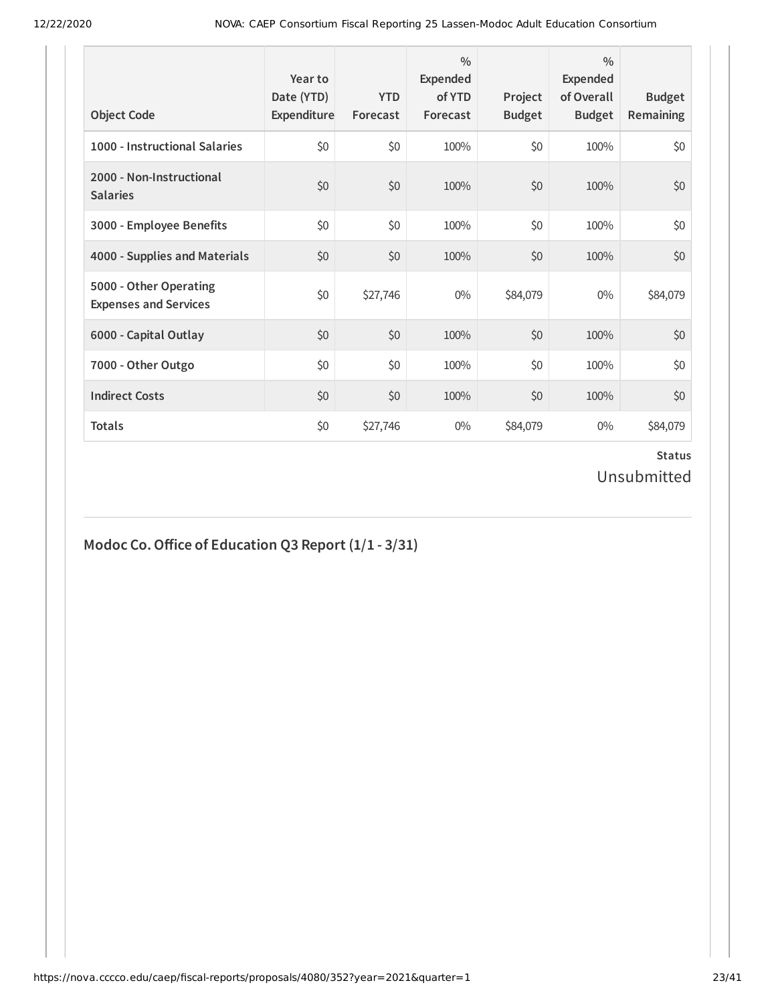| <b>Object Code</b>                                     | Year to<br>Date (YTD)<br>Expenditure | <b>YTD</b><br>Forecast | $\frac{0}{0}$<br>Expended<br>of YTD<br>Forecast | Project<br><b>Budget</b> | $\frac{0}{0}$<br>Expended<br>of Overall<br><b>Budget</b> | <b>Budget</b><br><b>Remaining</b> |
|--------------------------------------------------------|--------------------------------------|------------------------|-------------------------------------------------|--------------------------|----------------------------------------------------------|-----------------------------------|
| 1000 - Instructional Salaries                          | \$0                                  | \$0                    | 100%                                            | \$0                      | 100%                                                     | \$0                               |
| 2000 - Non-Instructional<br><b>Salaries</b>            | \$0                                  | \$0                    | 100%                                            | \$0                      | 100%                                                     | \$0                               |
| 3000 - Employee Benefits                               | \$0                                  | \$0                    | 100%                                            | \$0                      | 100%                                                     | \$0                               |
| 4000 - Supplies and Materials                          | \$0                                  | \$0                    | 100%                                            | \$0                      | 100%                                                     | \$0                               |
| 5000 - Other Operating<br><b>Expenses and Services</b> | \$0                                  | \$27,746               | $0\%$                                           | \$84,079                 | $0\%$                                                    | \$84,079                          |
| 6000 - Capital Outlay                                  | \$0                                  | \$0                    | 100%                                            | \$0                      | 100%                                                     | \$0                               |
| 7000 - Other Outgo                                     | \$0                                  | \$0                    | 100%                                            | \$0                      | 100%                                                     | \$0                               |
| <b>Indirect Costs</b>                                  | \$0                                  | \$0                    | 100%                                            | \$0                      | 100%                                                     | \$0                               |
| <b>Totals</b>                                          | \$0                                  | \$27,746               | $0\%$                                           | \$84,079                 | $0\%$                                                    | \$84,079                          |

# **Modoc Co.Oice of Education Q3 Report (1/1 - 3/31)**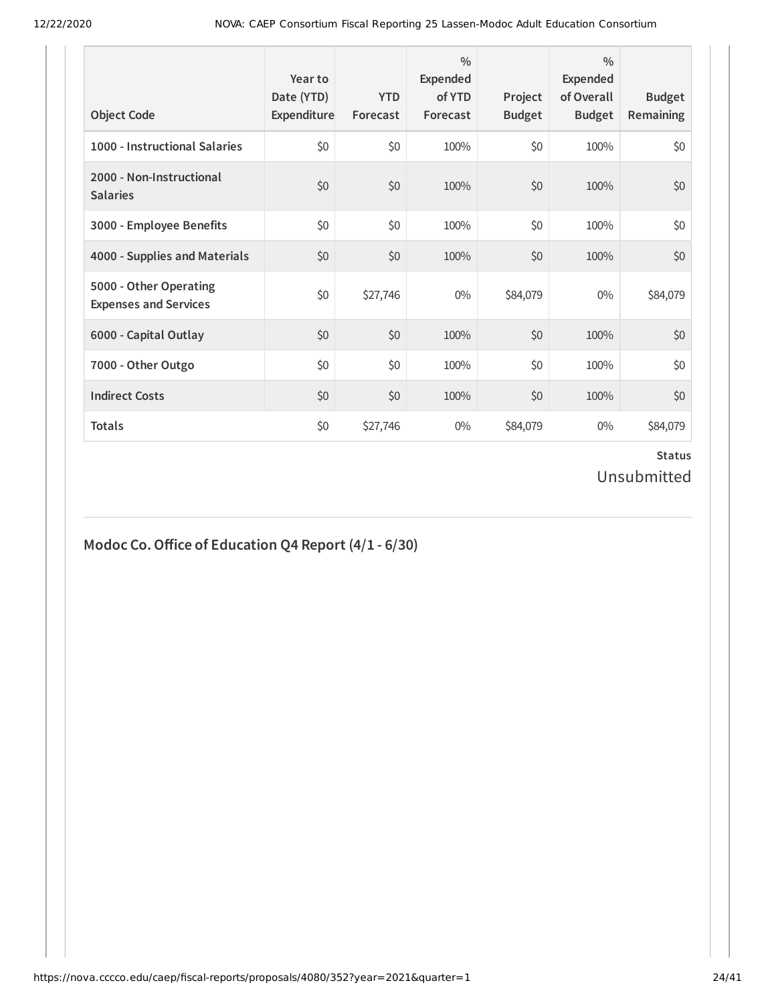| <b>Object Code</b>                                     | Year to<br>Date (YTD)<br>Expenditure | <b>YTD</b><br>Forecast | $\frac{0}{0}$<br><b>Expended</b><br>of YTD<br>Forecast | Project<br><b>Budget</b> | $\frac{0}{0}$<br><b>Expended</b><br>of Overall<br><b>Budget</b> | <b>Budget</b><br><b>Remaining</b> |
|--------------------------------------------------------|--------------------------------------|------------------------|--------------------------------------------------------|--------------------------|-----------------------------------------------------------------|-----------------------------------|
| 1000 - Instructional Salaries                          | \$0                                  | \$0                    | 100%                                                   | \$0                      | 100%                                                            | \$0                               |
| 2000 - Non-Instructional<br><b>Salaries</b>            | \$0                                  | \$0                    | 100%                                                   | \$0                      | 100%                                                            | \$0                               |
| 3000 - Employee Benefits                               | \$0                                  | \$0                    | 100%                                                   | \$0                      | 100%                                                            | \$0                               |
| 4000 - Supplies and Materials                          | \$0                                  | \$0                    | 100%                                                   | \$0                      | 100%                                                            | \$0                               |
| 5000 - Other Operating<br><b>Expenses and Services</b> | \$0                                  | \$27,746               | $0\%$                                                  | \$84,079                 | $0\%$                                                           | \$84,079                          |
| 6000 - Capital Outlay                                  | \$0                                  | \$0                    | 100%                                                   | \$0                      | 100%                                                            | \$0                               |
| 7000 - Other Outgo                                     | \$0                                  | \$0                    | 100%                                                   | \$0                      | 100%                                                            | \$0                               |
| <b>Indirect Costs</b>                                  | \$0                                  | \$0                    | 100%                                                   | \$0                      | 100%                                                            | \$0                               |
| <b>Totals</b>                                          | \$0                                  | \$27,746               | $0\%$                                                  | \$84,079                 | $0\%$                                                           | \$84,079                          |

# **Modoc Co.Oice of Education Q4 Report (4/1 - 6/30)**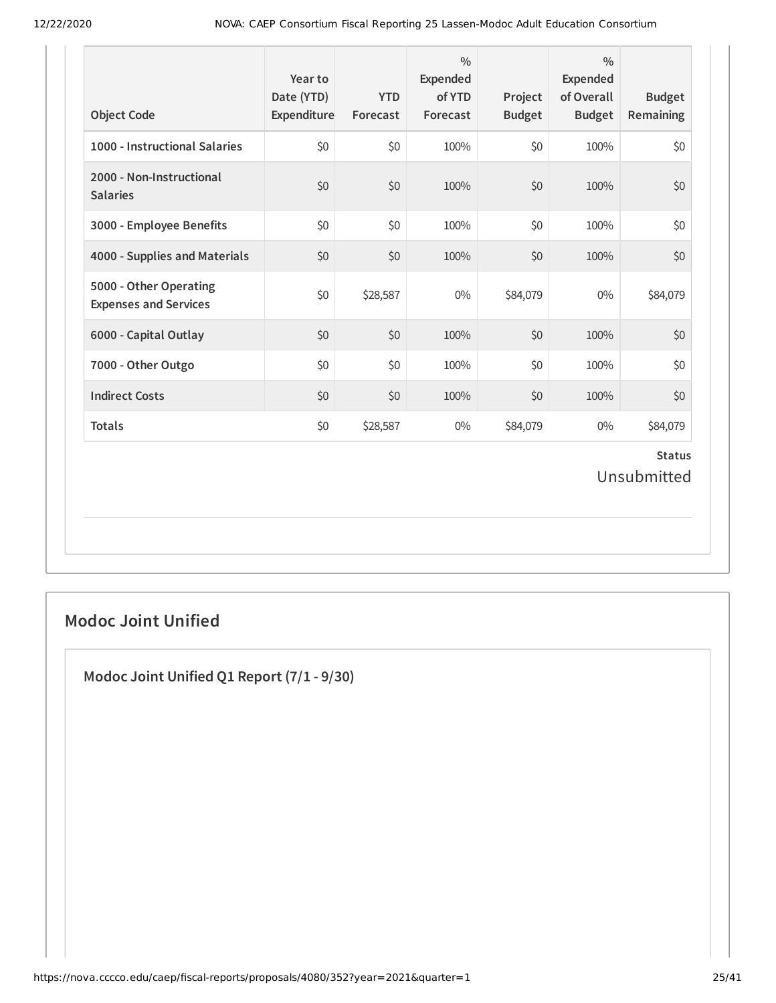| <b>Object Code</b>                                     | Year to<br>Date (YTD)<br>Expenditure | <b>YTD</b><br>Forecast | $\frac{0}{0}$<br>Expended<br>of YTD<br>Forecast | Project<br><b>Budget</b> | $\frac{0}{0}$<br><b>Expended</b><br>of Overall<br><b>Budget</b> | <b>Budget</b><br><b>Remaining</b> |
|--------------------------------------------------------|--------------------------------------|------------------------|-------------------------------------------------|--------------------------|-----------------------------------------------------------------|-----------------------------------|
| 1000 - Instructional Salaries                          | \$0                                  | \$0                    | 100%                                            | \$0                      | 100%                                                            | \$0                               |
| 2000 - Non-Instructional<br><b>Salaries</b>            | \$0                                  | \$0                    | 100%                                            | \$0                      | 100%                                                            | \$0                               |
| 3000 - Employee Benefits                               | \$0                                  | \$0                    | 100%                                            | \$0                      | 100%                                                            | \$0                               |
| 4000 - Supplies and Materials                          | \$0                                  | \$0                    | 100%                                            | \$0                      | 100%                                                            | \$0                               |
| 5000 - Other Operating<br><b>Expenses and Services</b> | \$0                                  | \$28,587               | $0\%$                                           | \$84,079                 | $0\%$                                                           | \$84,079                          |
| 6000 - Capital Outlay                                  | \$0                                  | \$0                    | 100%                                            | \$0                      | 100%                                                            | \$0                               |
| 7000 - Other Outgo                                     | \$0                                  | \$0                    | 100%                                            | \$0                      | 100%                                                            | \$0                               |
| <b>Indirect Costs</b>                                  | \$0                                  | \$0                    | 100%                                            | \$0                      | 100%                                                            | \$0                               |
| <b>Totals</b>                                          | \$0                                  | \$28,587               | $0\%$                                           | \$84,079                 | $0\%$                                                           | \$84,079                          |
|                                                        |                                      |                        |                                                 |                          |                                                                 | <b>Status</b><br>Unsubmitted      |

# **Modoc Joint Unified**

**Modoc Joint Unified Q1 Report (7/1 - 9/30)**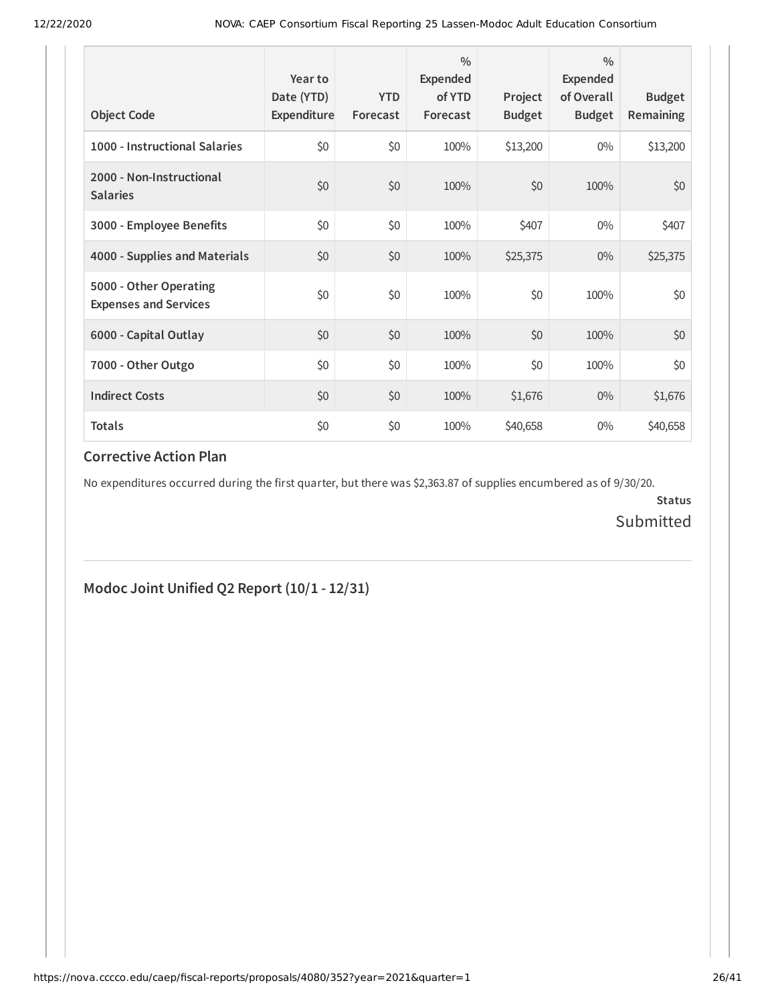| <b>Object Code</b>                                     | Year to<br>Date (YTD)<br>Expenditure | <b>YTD</b><br>Forecast | $\frac{0}{0}$<br>Expended<br>of YTD<br>Forecast | Project<br><b>Budget</b> | $\frac{0}{0}$<br>Expended<br>of Overall<br><b>Budget</b> | <b>Budget</b><br><b>Remaining</b> |
|--------------------------------------------------------|--------------------------------------|------------------------|-------------------------------------------------|--------------------------|----------------------------------------------------------|-----------------------------------|
| 1000 - Instructional Salaries                          | \$0                                  | \$0                    | 100%                                            | \$13,200                 | $0\%$                                                    | \$13,200                          |
| 2000 - Non-Instructional<br><b>Salaries</b>            | \$0                                  | \$0                    | 100%                                            | \$0                      | 100%                                                     | \$0                               |
| 3000 - Employee Benefits                               | \$0                                  | \$0                    | 100%                                            | \$407                    | $0\%$                                                    | \$407                             |
| 4000 - Supplies and Materials                          | \$0                                  | \$0                    | 100%                                            | \$25,375                 | $0\%$                                                    | \$25,375                          |
| 5000 - Other Operating<br><b>Expenses and Services</b> | \$0                                  | \$0                    | 100%                                            | \$0                      | 100%                                                     | \$0                               |
| 6000 - Capital Outlay                                  | \$0                                  | \$0                    | 100%                                            | \$0                      | 100%                                                     | \$0                               |
| 7000 - Other Outgo                                     | \$0                                  | \$0                    | 100%                                            | \$0                      | 100%                                                     | \$0                               |
| <b>Indirect Costs</b>                                  | \$0                                  | \$0                    | 100%                                            | \$1,676                  | $0\%$                                                    | \$1,676                           |
| <b>Totals</b>                                          | \$0                                  | \$0                    | 100%                                            | \$40,658                 | $0\%$                                                    | \$40,658                          |

No expenditures occurred during the first quarter, but there was \$2,363.87 of supplies encumbered as of 9/30/20.

**Status** Submitted

# **Modoc Joint Unified Q2 Report (10/1 - 12/31)**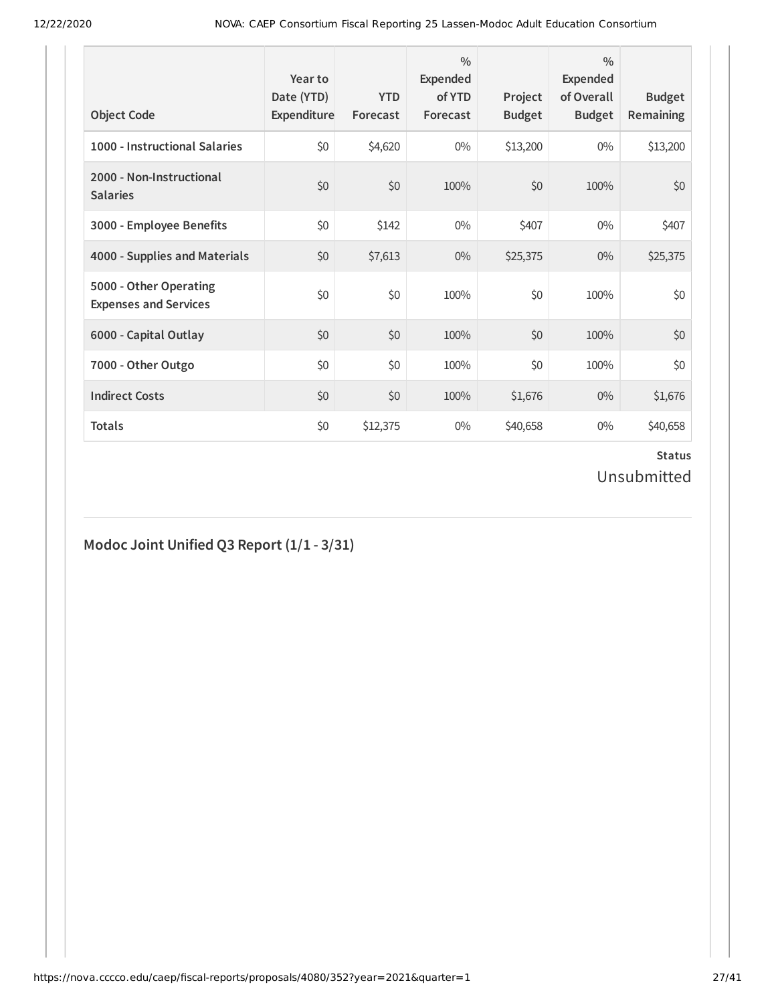| <b>Object Code</b>                                     | Year to<br>Date (YTD)<br>Expenditure | <b>YTD</b><br>Forecast | $\frac{0}{0}$<br>Expended<br>of YTD<br>Forecast | Project<br><b>Budget</b> | $\frac{0}{0}$<br>Expended<br>of Overall<br><b>Budget</b> | <b>Budget</b><br>Remaining |
|--------------------------------------------------------|--------------------------------------|------------------------|-------------------------------------------------|--------------------------|----------------------------------------------------------|----------------------------|
| 1000 - Instructional Salaries                          | \$0                                  | \$4,620                | $0\%$                                           | \$13,200                 | $0\%$                                                    | \$13,200                   |
| 2000 - Non-Instructional<br><b>Salaries</b>            | \$0                                  | \$0                    | 100%                                            | \$0                      | 100%                                                     | \$0                        |
| 3000 - Employee Benefits                               | \$0                                  | \$142                  | $0\%$                                           | \$407                    | $0\%$                                                    | \$407                      |
| 4000 - Supplies and Materials                          | \$0                                  | \$7,613                | $0\%$                                           | \$25,375                 | $0\%$                                                    | \$25,375                   |
| 5000 - Other Operating<br><b>Expenses and Services</b> | \$0                                  | \$0                    | 100%                                            | \$0                      | 100%                                                     | \$0                        |
| 6000 - Capital Outlay                                  | \$0                                  | \$0                    | 100%                                            | \$0                      | 100%                                                     | \$0                        |
| 7000 - Other Outgo                                     | \$0                                  | \$0                    | 100%                                            | \$0                      | 100%                                                     | \$0                        |
| <b>Indirect Costs</b>                                  | \$0                                  | \$0                    | 100%                                            | \$1,676                  | $0\%$                                                    | \$1,676                    |
| <b>Totals</b>                                          | \$0                                  | \$12,375               | $0\%$                                           | \$40,658                 | $0\%$                                                    | \$40,658                   |

# **Modoc Joint Unified Q3 Report (1/1 - 3/31)**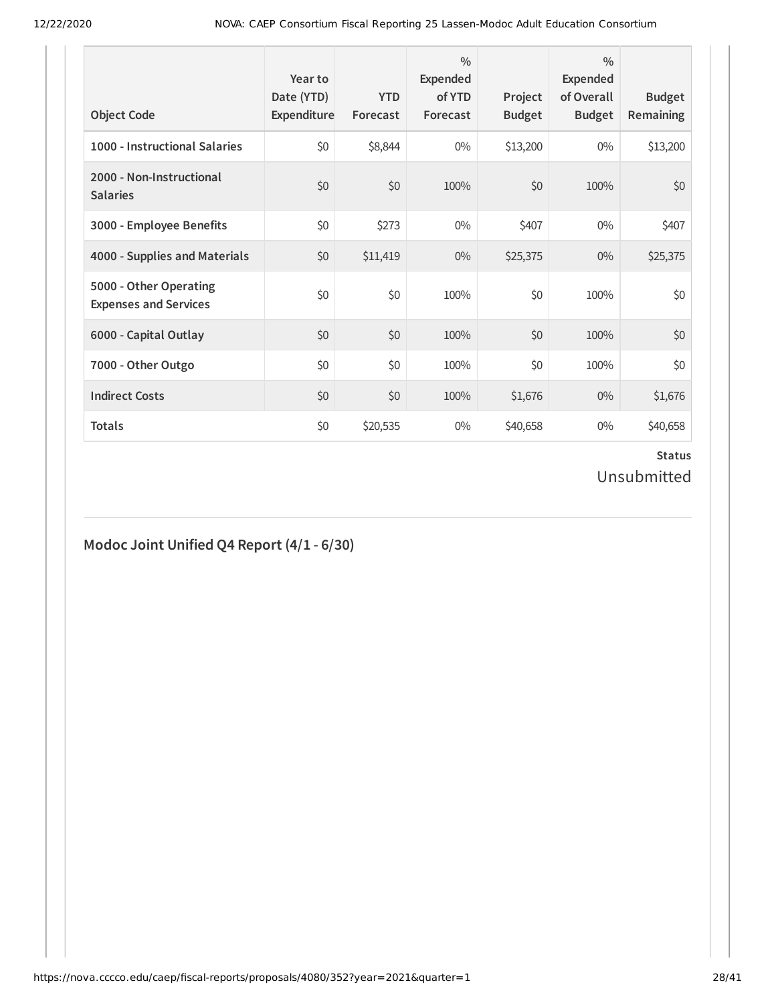| <b>Object Code</b>                                     | Year to<br>Date (YTD)<br>Expenditure | <b>YTD</b><br>Forecast | $\frac{0}{0}$<br>Expended<br>of YTD<br>Forecast | Project<br><b>Budget</b> | $\frac{0}{0}$<br>Expended<br>of Overall<br><b>Budget</b> | <b>Budget</b><br>Remaining |
|--------------------------------------------------------|--------------------------------------|------------------------|-------------------------------------------------|--------------------------|----------------------------------------------------------|----------------------------|
| 1000 - Instructional Salaries                          | \$0                                  | \$8,844                | $0\%$                                           | \$13,200                 | $0\%$                                                    | \$13,200                   |
| 2000 - Non-Instructional<br><b>Salaries</b>            | \$0                                  | \$0                    | 100%                                            | \$0                      | 100%                                                     | \$0                        |
| 3000 - Employee Benefits                               | \$0                                  | \$273                  | $0\%$                                           | \$407                    | $0\%$                                                    | \$407                      |
| 4000 - Supplies and Materials                          | \$0                                  | \$11,419               | $0\%$                                           | \$25,375                 | $0\%$                                                    | \$25,375                   |
| 5000 - Other Operating<br><b>Expenses and Services</b> | \$0                                  | \$0                    | 100%                                            | \$0                      | 100%                                                     | \$0                        |
| 6000 - Capital Outlay                                  | \$0                                  | \$0                    | 100%                                            | \$0                      | 100%                                                     | \$0                        |
| 7000 - Other Outgo                                     | \$0                                  | \$0                    | 100%                                            | \$0                      | 100%                                                     | \$0                        |
| <b>Indirect Costs</b>                                  | \$0                                  | \$0                    | 100%                                            | \$1,676                  | $0\%$                                                    | \$1,676                    |
| <b>Totals</b>                                          | \$0                                  | \$20,535               | $0\%$                                           | \$40,658                 | $0\%$                                                    | \$40,658                   |

# **Modoc Joint Unified Q4 Report (4/1 - 6/30)**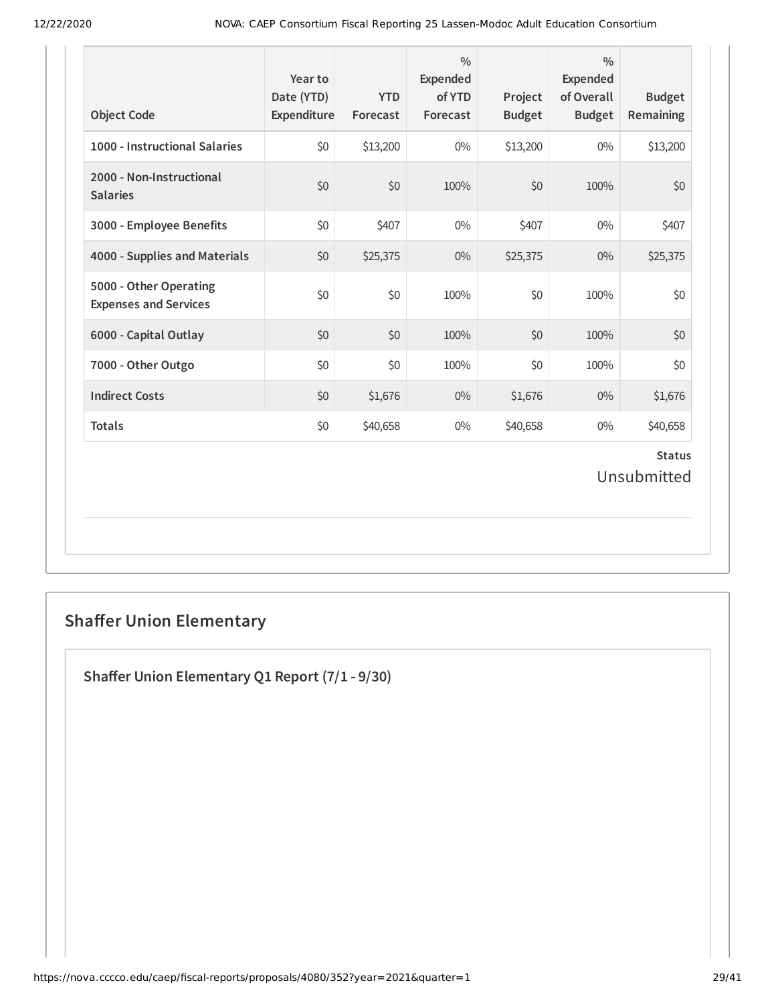| <b>Object Code</b>                                     | Year to<br>Date (YTD)<br>Expenditure | <b>YTD</b><br>Forecast | $\frac{0}{0}$<br><b>Expended</b><br>of YTD<br>Forecast | Project<br><b>Budget</b> | $\frac{0}{0}$<br><b>Expended</b><br>of Overall<br><b>Budget</b> | <b>Budget</b><br>Remaining   |
|--------------------------------------------------------|--------------------------------------|------------------------|--------------------------------------------------------|--------------------------|-----------------------------------------------------------------|------------------------------|
| 1000 - Instructional Salaries                          | \$0                                  | \$13,200               | $0\%$                                                  | \$13,200                 | $0\%$                                                           | \$13,200                     |
| 2000 - Non-Instructional<br><b>Salaries</b>            | \$0                                  | \$0                    | 100%                                                   | \$0                      | 100%                                                            | \$0                          |
| 3000 - Employee Benefits                               | \$0                                  | \$407                  | $0\%$                                                  | \$407                    | $0\%$                                                           | \$407                        |
| 4000 - Supplies and Materials                          | \$0                                  | \$25,375               | $0\%$                                                  | \$25,375                 | $0\%$                                                           | \$25,375                     |
| 5000 - Other Operating<br><b>Expenses and Services</b> | \$0                                  | \$0                    | 100%                                                   | \$0                      | 100%                                                            | \$0                          |
| 6000 - Capital Outlay                                  | \$0                                  | \$0                    | 100%                                                   | \$0                      | 100%                                                            | \$0                          |
| 7000 - Other Outgo                                     | \$0                                  | \$0                    | 100%                                                   | \$0                      | 100%                                                            | \$0                          |
| <b>Indirect Costs</b>                                  | \$0                                  | \$1,676                | $0\%$                                                  | \$1,676                  | 0%                                                              | \$1,676                      |
| <b>Totals</b>                                          | \$0                                  | \$40,658               | $0\%$                                                  | \$40,658                 | $0\%$                                                           | \$40,658                     |
|                                                        |                                      |                        |                                                        |                          |                                                                 | <b>Status</b><br>Unsubmitted |

# **Shaffer Union Elementary**

**Shaer Union Elementary Q1 Report (7/1 - 9/30)**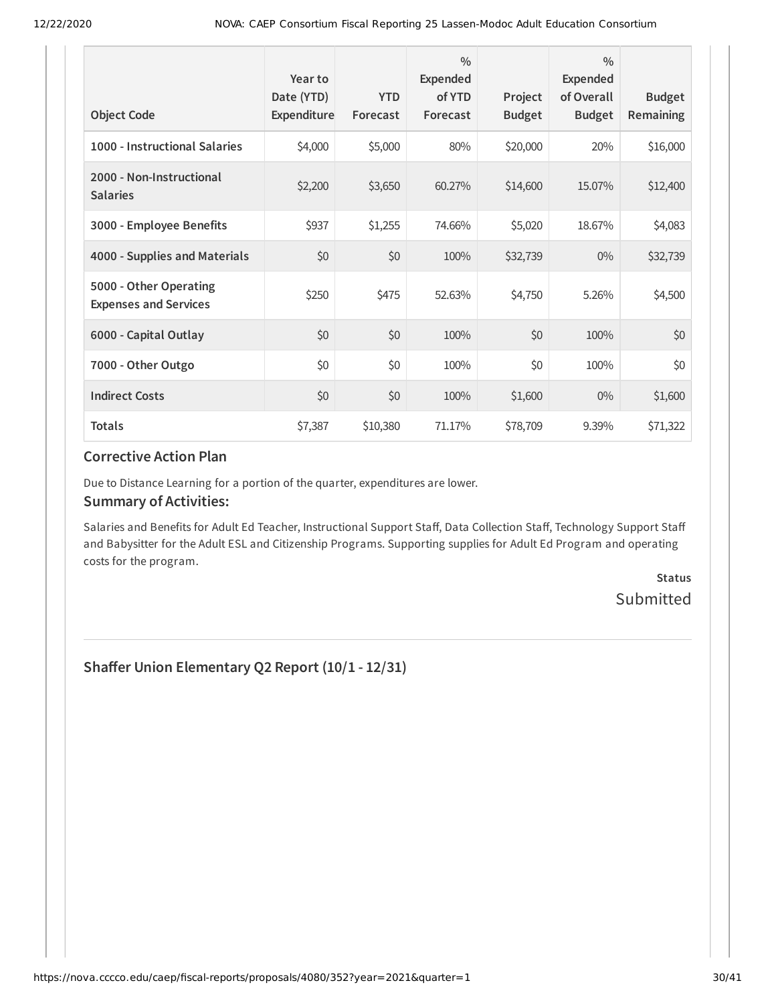| <b>Object Code</b>                                     | Year to<br>Date (YTD)<br>Expenditure | <b>YTD</b><br>Forecast | $\frac{0}{0}$<br><b>Expended</b><br>of YTD<br>Forecast | Project<br><b>Budget</b> | $\frac{0}{0}$<br><b>Expended</b><br>of Overall<br><b>Budget</b> | <b>Budget</b><br>Remaining |
|--------------------------------------------------------|--------------------------------------|------------------------|--------------------------------------------------------|--------------------------|-----------------------------------------------------------------|----------------------------|
| 1000 - Instructional Salaries                          | \$4,000                              | \$5,000                | 80%                                                    | \$20,000                 | 20%                                                             | \$16,000                   |
| 2000 - Non-Instructional<br><b>Salaries</b>            | \$2,200                              | \$3,650                | 60.27%                                                 | \$14,600                 | 15.07%                                                          | \$12,400                   |
| 3000 - Employee Benefits                               | \$937                                | \$1,255                | 74.66%                                                 | \$5,020                  | 18.67%                                                          | \$4,083                    |
| 4000 - Supplies and Materials                          | \$0                                  | \$0                    | 100%                                                   | \$32,739                 | $0\%$                                                           | \$32,739                   |
| 5000 - Other Operating<br><b>Expenses and Services</b> | \$250                                | \$475                  | 52.63%                                                 | \$4,750                  | 5.26%                                                           | \$4,500                    |
| 6000 - Capital Outlay                                  | \$0                                  | \$0                    | 100%                                                   | \$0                      | 100%                                                            | \$0                        |
| 7000 - Other Outgo                                     | \$0                                  | \$0                    | 100%                                                   | \$0                      | 100%                                                            | \$0                        |
| <b>Indirect Costs</b>                                  | \$0                                  | \$0                    | 100%                                                   | \$1,600                  | $0\%$                                                           | \$1,600                    |
| <b>Totals</b>                                          | \$7,387                              | \$10,380               | 71.17%                                                 | \$78,709                 | 9.39%                                                           | \$71,322                   |

Due to Distance Learning for a portion of the quarter, expenditures are lower.

#### **Summary of Activities:**

Salaries and Benefits for Adult Ed Teacher, Instructional Support Staff, Data Collection Staff, Technology Support Staff and Babysitter for the Adult ESL and Citizenship Programs. Supporting supplies for Adult Ed Program and operating costs for the program.

> **Status** Submitted

**Shaer Union Elementary Q2 Report (10/1 - 12/31)**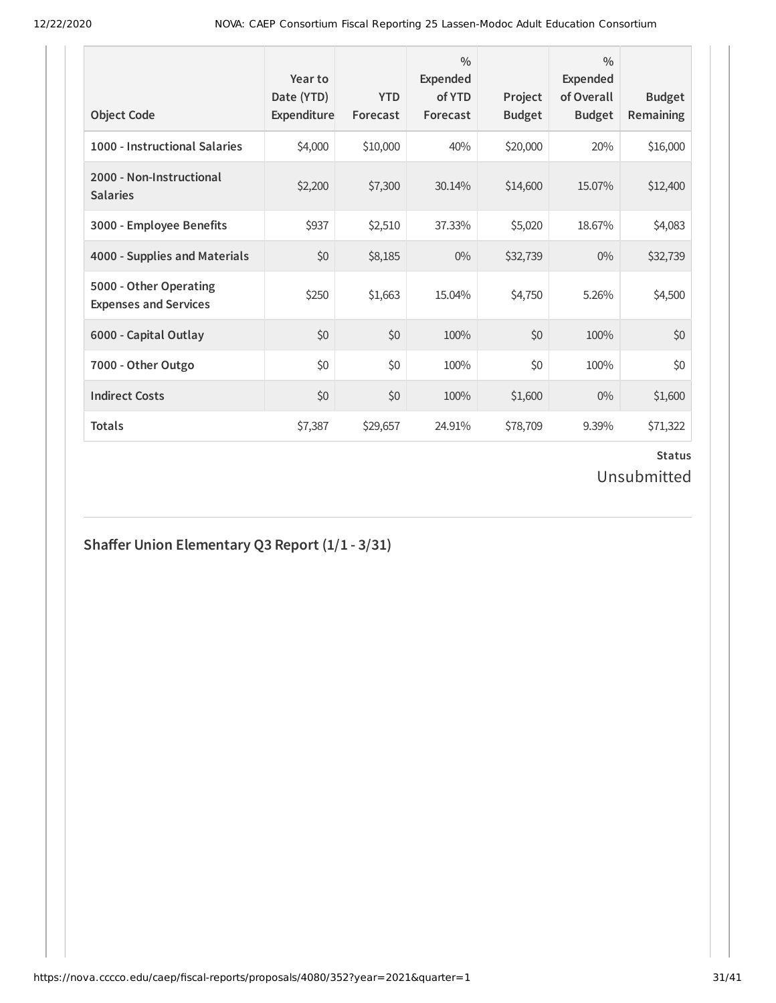| <b>Object Code</b>                                     | Year to<br>Date (YTD)<br>Expenditure | <b>YTD</b><br>Forecast | $\frac{0}{0}$<br>Expended<br>of YTD<br>Forecast | Project<br><b>Budget</b> | $\frac{0}{0}$<br>Expended<br>of Overall<br><b>Budget</b> | <b>Budget</b><br>Remaining |
|--------------------------------------------------------|--------------------------------------|------------------------|-------------------------------------------------|--------------------------|----------------------------------------------------------|----------------------------|
| 1000 - Instructional Salaries                          | \$4,000                              | \$10,000               | 40%                                             | \$20,000                 | 20%                                                      | \$16,000                   |
| 2000 - Non-Instructional<br><b>Salaries</b>            | \$2,200                              | \$7,300                | 30.14%                                          | \$14,600                 | 15.07%                                                   | \$12,400                   |
| 3000 - Employee Benefits                               | \$937                                | \$2,510                | 37.33%                                          | \$5,020                  | 18.67%                                                   | \$4,083                    |
| 4000 - Supplies and Materials                          | \$0                                  | \$8,185                | $0\%$                                           | \$32,739                 | $0\%$                                                    | \$32,739                   |
| 5000 - Other Operating<br><b>Expenses and Services</b> | \$250                                | \$1,663                | 15.04%                                          | \$4,750                  | 5.26%                                                    | \$4,500                    |
| 6000 - Capital Outlay                                  | \$0                                  | \$0                    | 100%                                            | \$0                      | 100%                                                     | \$0                        |
| 7000 - Other Outgo                                     | \$0                                  | \$0                    | 100%                                            | \$0                      | 100%                                                     | \$0                        |
| <b>Indirect Costs</b>                                  | \$0                                  | \$0                    | 100%                                            | \$1,600                  | $0\%$                                                    | \$1,600                    |
| <b>Totals</b>                                          | \$7,387                              | \$29,657               | 24.91%                                          | \$78,709                 | 9.39%                                                    | \$71,322                   |

# **Shaer Union Elementary Q3 Report (1/1 - 3/31)**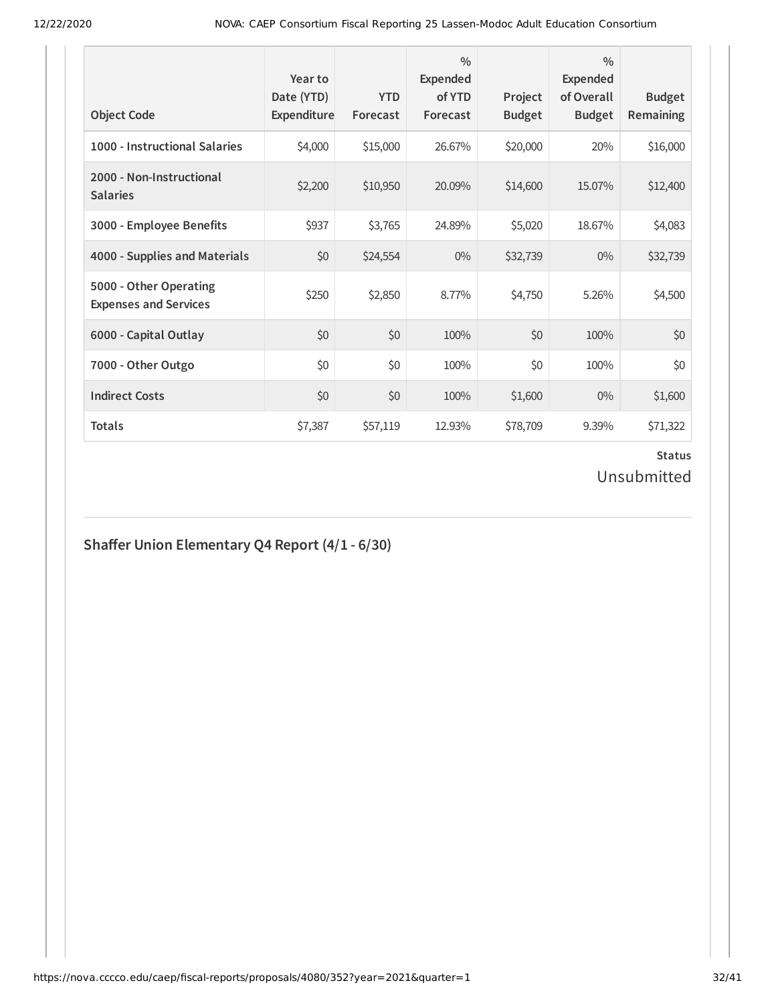| <b>Object Code</b>                                     | Year to<br>Date (YTD)<br>Expenditure | <b>YTD</b><br>Forecast | $\frac{0}{0}$<br><b>Expended</b><br>of YTD<br>Forecast | Project<br><b>Budget</b> | $\frac{0}{0}$<br><b>Expended</b><br>of Overall<br><b>Budget</b> | <b>Budget</b><br><b>Remaining</b> |
|--------------------------------------------------------|--------------------------------------|------------------------|--------------------------------------------------------|--------------------------|-----------------------------------------------------------------|-----------------------------------|
| 1000 - Instructional Salaries                          | \$4,000                              | \$15,000               | 26.67%                                                 | \$20,000                 | 20%                                                             | \$16,000                          |
| 2000 - Non-Instructional<br><b>Salaries</b>            | \$2,200                              | \$10,950               | 20.09%                                                 | \$14,600                 | 15.07%                                                          | \$12,400                          |
| 3000 - Employee Benefits                               | \$937                                | \$3,765                | 24.89%                                                 | \$5,020                  | 18.67%                                                          | \$4,083                           |
| 4000 - Supplies and Materials                          | \$0                                  | \$24,554               | $0\%$                                                  | \$32,739                 | $0\%$                                                           | \$32,739                          |
| 5000 - Other Operating<br><b>Expenses and Services</b> | \$250                                | \$2,850                | 8.77%                                                  | \$4,750                  | 5.26%                                                           | \$4,500                           |
| 6000 - Capital Outlay                                  | \$0                                  | \$0                    | 100%                                                   | \$0                      | 100%                                                            | \$0                               |
| 7000 - Other Outgo                                     | \$0                                  | \$0                    | 100%                                                   | \$0                      | 100%                                                            | \$0                               |
| <b>Indirect Costs</b>                                  | \$0                                  | \$0                    | 100%                                                   | \$1,600                  | $0\%$                                                           | \$1,600                           |
| <b>Totals</b>                                          | \$7,387                              | \$57,119               | 12.93%                                                 | \$78,709                 | 9.39%                                                           | \$71,322                          |

# **Shaer Union Elementary Q4 Report (4/1 - 6/30)**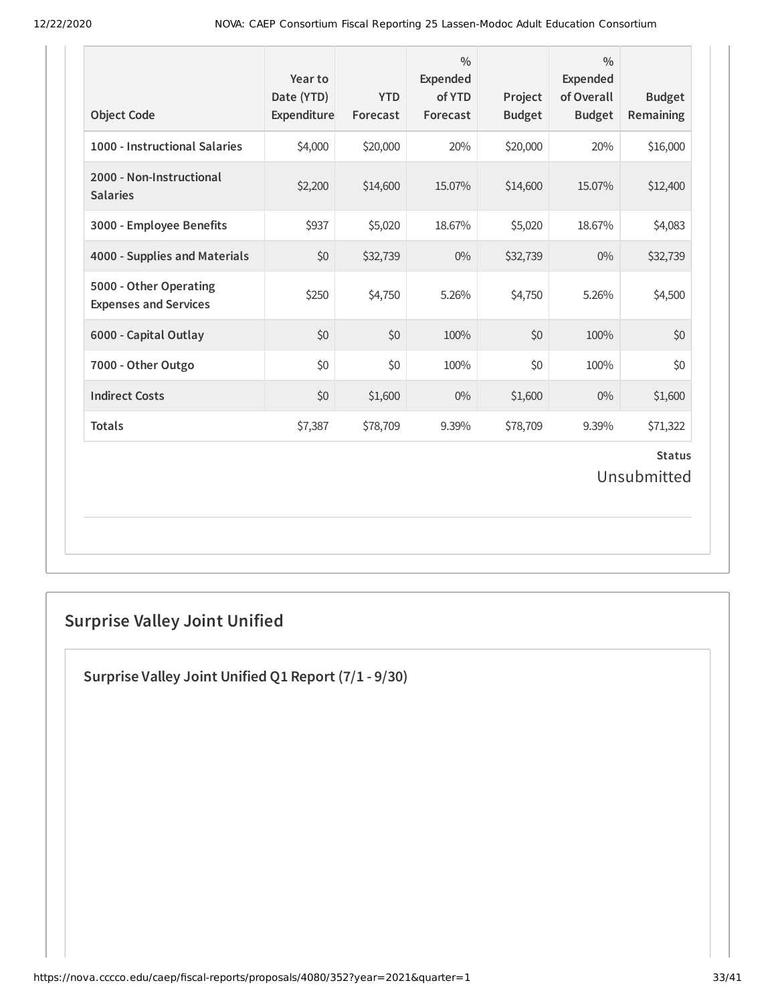| <b>Object Code</b>                                     | Year to<br>Date (YTD)<br>Expenditure | <b>YTD</b><br>Forecast | $\frac{0}{0}$<br><b>Expended</b><br>of YTD<br>Forecast | Project<br><b>Budget</b> | $\frac{0}{0}$<br><b>Expended</b><br>of Overall<br><b>Budget</b> | <b>Budget</b><br>Remaining   |
|--------------------------------------------------------|--------------------------------------|------------------------|--------------------------------------------------------|--------------------------|-----------------------------------------------------------------|------------------------------|
| 1000 - Instructional Salaries                          | \$4,000                              | \$20,000               | 20%                                                    | \$20,000                 | 20%                                                             | \$16,000                     |
| 2000 - Non-Instructional<br><b>Salaries</b>            | \$2,200                              | \$14,600               | 15.07%                                                 | \$14,600                 | 15.07%                                                          | \$12,400                     |
| 3000 - Employee Benefits                               | \$937                                | \$5,020                | 18.67%                                                 | \$5,020                  | 18.67%                                                          | \$4,083                      |
| 4000 - Supplies and Materials                          | \$0                                  | \$32,739               | $0\%$                                                  | \$32,739                 | $0\%$                                                           | \$32,739                     |
| 5000 - Other Operating<br><b>Expenses and Services</b> | \$250                                | \$4,750                | 5.26%                                                  | \$4,750                  | 5.26%                                                           | \$4,500                      |
| 6000 - Capital Outlay                                  | \$0                                  | \$0                    | 100%                                                   | \$0                      | 100%                                                            | \$0                          |
| 7000 - Other Outgo                                     | \$0                                  | \$0                    | 100%                                                   | \$0                      | 100%                                                            | \$0                          |
| <b>Indirect Costs</b>                                  | \$0                                  | \$1,600                | $0\%$                                                  | \$1,600                  | 0%                                                              | \$1,600                      |
| <b>Totals</b>                                          | \$7,387                              | \$78,709               | 9.39%                                                  | \$78,709                 | 9.39%                                                           | \$71,322                     |
|                                                        |                                      |                        |                                                        |                          |                                                                 | <b>Status</b><br>Unsubmitted |

# **Surprise Valley Joint Unified**

**Surprise Valley Joint Unified Q1 Report (7/1 - 9/30)**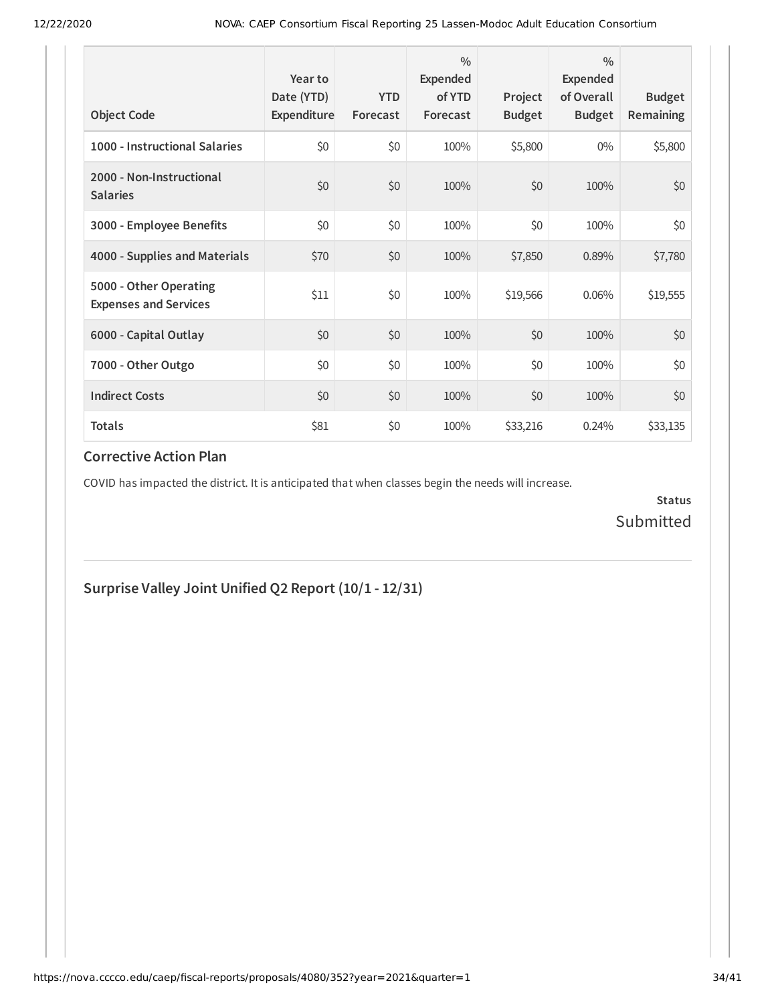| <b>Object Code</b>                                     | Year to<br>Date (YTD)<br>Expenditure | <b>YTD</b><br>Forecast | 0/0<br>Expended<br>of YTD<br>Forecast | Project<br><b>Budget</b> | $\frac{0}{0}$<br>Expended<br>of Overall<br><b>Budget</b> | <b>Budget</b><br><b>Remaining</b> |
|--------------------------------------------------------|--------------------------------------|------------------------|---------------------------------------|--------------------------|----------------------------------------------------------|-----------------------------------|
| 1000 - Instructional Salaries                          | \$0                                  | \$0                    | 100%                                  | \$5,800                  | $0\%$                                                    | \$5,800                           |
| 2000 - Non-Instructional<br><b>Salaries</b>            | \$0                                  | \$0                    | 100%                                  | \$0                      | 100%                                                     | \$0                               |
| 3000 - Employee Benefits                               | \$0                                  | \$0                    | 100%                                  | \$0                      | 100%                                                     | \$0                               |
| 4000 - Supplies and Materials                          | \$70                                 | \$0                    | 100%                                  | \$7,850                  | 0.89%                                                    | \$7,780                           |
| 5000 - Other Operating<br><b>Expenses and Services</b> | \$11                                 | \$0                    | 100%                                  | \$19,566                 | 0.06%                                                    | \$19,555                          |
| 6000 - Capital Outlay                                  | \$0                                  | \$0                    | 100%                                  | \$0                      | 100%                                                     | \$0                               |
| 7000 - Other Outgo                                     | \$0                                  | \$0                    | 100%                                  | \$0                      | 100%                                                     | \$0                               |
| <b>Indirect Costs</b>                                  | \$0                                  | \$0                    | 100%                                  | \$0                      | 100%                                                     | \$0                               |
| <b>Totals</b>                                          | \$81                                 | \$0                    | 100%                                  | \$33,216                 | 0.24%                                                    | \$33,135                          |

COVID has impacted the district. It is anticipated that when classes begin the needs will increase.

**Status** Submitted

**Surprise Valley Joint Unified Q2 Report (10/1 - 12/31)**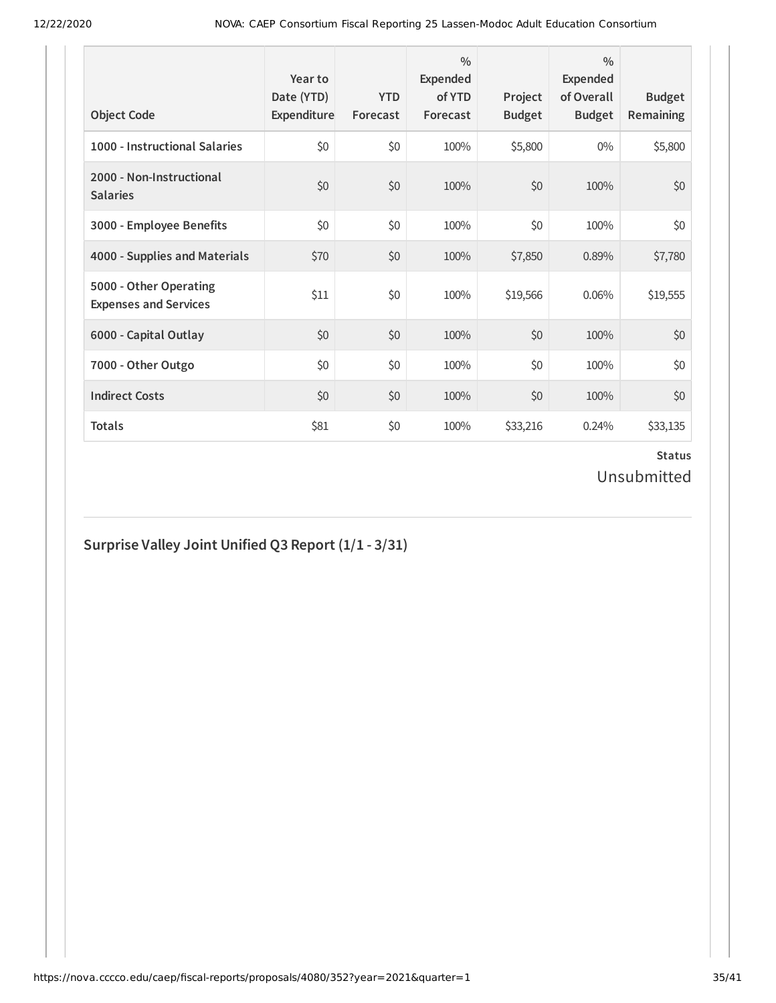| <b>Object Code</b>                                     | Year to<br>Date (YTD)<br>Expenditure | <b>YTD</b><br>Forecast | $\frac{0}{0}$<br><b>Expended</b><br>of YTD<br>Forecast | Project<br><b>Budget</b> | $\frac{0}{0}$<br><b>Expended</b><br>of Overall<br><b>Budget</b> | <b>Budget</b><br><b>Remaining</b> |
|--------------------------------------------------------|--------------------------------------|------------------------|--------------------------------------------------------|--------------------------|-----------------------------------------------------------------|-----------------------------------|
| 1000 - Instructional Salaries                          | \$0                                  | \$0                    | 100%                                                   | \$5,800                  | $0\%$                                                           | \$5,800                           |
| 2000 - Non-Instructional<br><b>Salaries</b>            | \$0                                  | \$0                    | 100%                                                   | \$0                      | 100%                                                            | \$0                               |
| 3000 - Employee Benefits                               | \$0                                  | \$0                    | 100%                                                   | \$0                      | 100%                                                            | \$0                               |
| 4000 - Supplies and Materials                          | \$70                                 | \$0                    | 100%                                                   | \$7,850                  | 0.89%                                                           | \$7,780                           |
| 5000 - Other Operating<br><b>Expenses and Services</b> | \$11                                 | \$0                    | 100%                                                   | \$19,566                 | 0.06%                                                           | \$19,555                          |
| 6000 - Capital Outlay                                  | \$0                                  | \$0                    | 100%                                                   | \$0                      | 100%                                                            | \$0                               |
| 7000 - Other Outgo                                     | \$0                                  | \$0                    | 100%                                                   | \$0                      | 100%                                                            | \$0                               |
| <b>Indirect Costs</b>                                  | \$0                                  | \$0                    | 100%                                                   | \$0                      | 100%                                                            | \$0                               |
| <b>Totals</b>                                          | \$81                                 | \$0                    | 100%                                                   | \$33,216                 | 0.24%                                                           | \$33,135                          |

# **Surprise Valley Joint Unified Q3 Report (1/1 - 3/31)**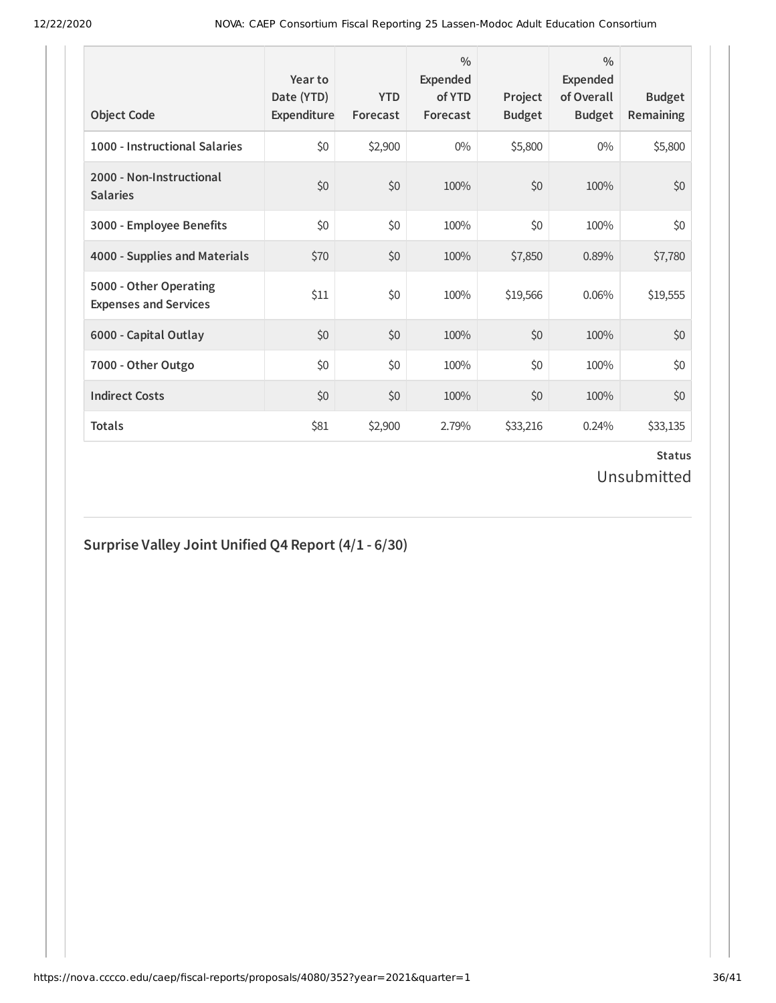| <b>Object Code</b>                                     | Year to<br>Date (YTD)<br>Expenditure | <b>YTD</b><br>Forecast | $\frac{0}{0}$<br><b>Expended</b><br>of YTD<br>Forecast | Project<br><b>Budget</b> | $\frac{0}{0}$<br><b>Expended</b><br>of Overall<br><b>Budget</b> | <b>Budget</b><br><b>Remaining</b> |
|--------------------------------------------------------|--------------------------------------|------------------------|--------------------------------------------------------|--------------------------|-----------------------------------------------------------------|-----------------------------------|
| 1000 - Instructional Salaries                          | \$0                                  | \$2,900                | $0\%$                                                  | \$5,800                  | $0\%$                                                           | \$5,800                           |
| 2000 - Non-Instructional<br><b>Salaries</b>            | \$0                                  | \$0                    | 100%                                                   | \$0                      | 100%                                                            | \$0                               |
| 3000 - Employee Benefits                               | \$0                                  | \$0                    | 100%                                                   | \$0                      | 100%                                                            | \$0                               |
| 4000 - Supplies and Materials                          | \$70                                 | \$0                    | 100%                                                   | \$7,850                  | 0.89%                                                           | \$7,780                           |
| 5000 - Other Operating<br><b>Expenses and Services</b> | \$11                                 | \$0                    | 100%                                                   | \$19,566                 | 0.06%                                                           | \$19,555                          |
| 6000 - Capital Outlay                                  | \$0                                  | \$0                    | 100%                                                   | \$0                      | 100%                                                            | \$0                               |
| 7000 - Other Outgo                                     | \$0                                  | \$0                    | 100%                                                   | \$0                      | 100%                                                            | \$0                               |
| <b>Indirect Costs</b>                                  | \$0                                  | \$0                    | 100%                                                   | \$0                      | 100%                                                            | \$0                               |
| <b>Totals</b>                                          | \$81                                 | \$2,900                | 2.79%                                                  | \$33,216                 | 0.24%                                                           | \$33,135                          |

# **Surprise Valley Joint Unified Q4 Report (4/1 - 6/30)**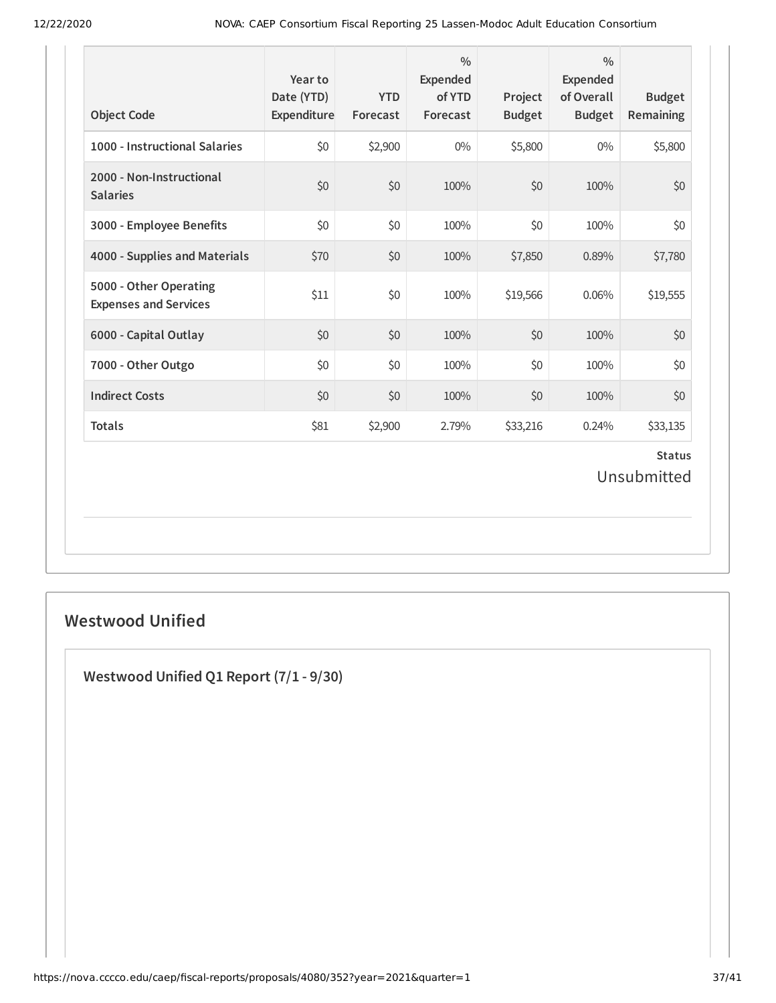| <b>Object Code</b>                                     | Year to<br>Date (YTD)<br>Expenditure | <b>YTD</b><br>Forecast | $\frac{0}{0}$<br><b>Expended</b><br>of YTD<br>Forecast | Project<br><b>Budget</b> | $\frac{0}{0}$<br><b>Expended</b><br>of Overall<br><b>Budget</b> | <b>Budget</b><br>Remaining   |
|--------------------------------------------------------|--------------------------------------|------------------------|--------------------------------------------------------|--------------------------|-----------------------------------------------------------------|------------------------------|
| 1000 - Instructional Salaries                          | \$0                                  | \$2,900                | $0\%$                                                  | \$5,800                  | $0\%$                                                           | \$5,800                      |
| 2000 - Non-Instructional<br><b>Salaries</b>            | \$0                                  | \$0                    | 100%                                                   | \$0                      | 100%                                                            | \$0                          |
| 3000 - Employee Benefits                               | \$0                                  | \$0                    | 100%                                                   | \$0                      | 100%                                                            | \$0                          |
| 4000 - Supplies and Materials                          | \$70                                 | \$0                    | 100%                                                   | \$7,850                  | 0.89%                                                           | \$7,780                      |
| 5000 - Other Operating<br><b>Expenses and Services</b> | \$11                                 | \$0                    | 100%                                                   | \$19,566                 | 0.06%                                                           | \$19,555                     |
| 6000 - Capital Outlay                                  | \$0                                  | \$0                    | 100%                                                   | \$0                      | 100%                                                            | \$0                          |
| 7000 - Other Outgo                                     | \$0                                  | \$0                    | 100%                                                   | \$0                      | 100%                                                            | \$0                          |
| <b>Indirect Costs</b>                                  | \$0                                  | \$0                    | 100%                                                   | \$0                      | 100%                                                            | \$0                          |
| <b>Totals</b>                                          | \$81                                 | \$2,900                | 2.79%                                                  | \$33,216                 | 0.24%                                                           | \$33,135                     |
|                                                        |                                      |                        |                                                        |                          |                                                                 | <b>Status</b><br>Unsubmitted |

# **Westwood Unified**

**Westwood Unified Q1 Report (7/1 - 9/30)**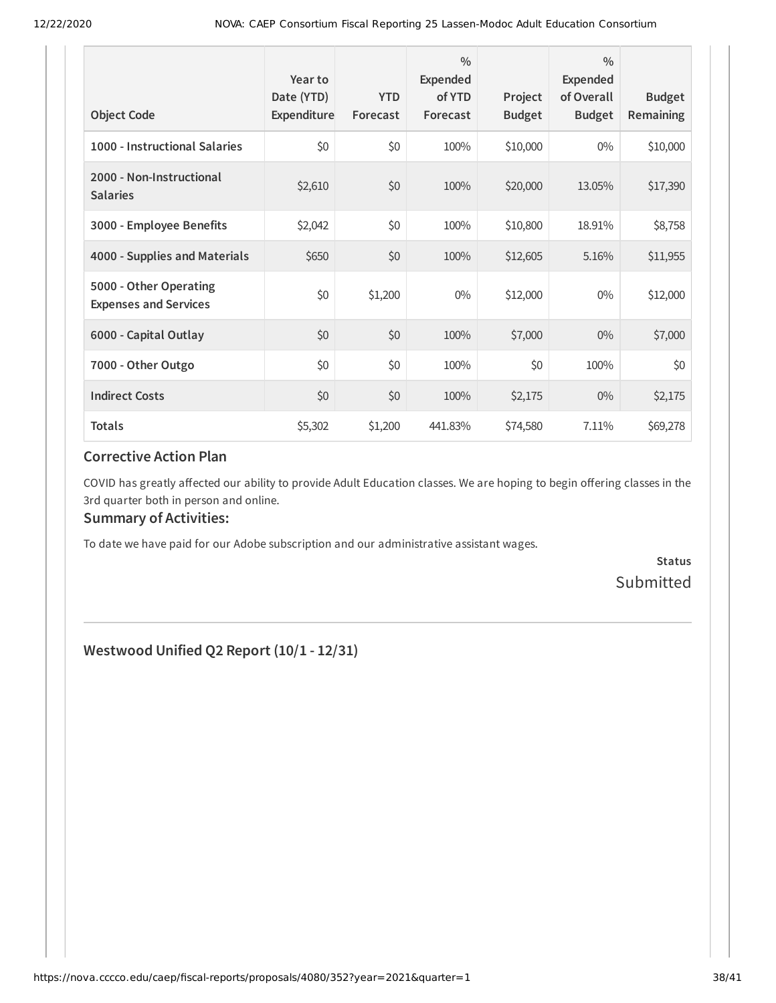| <b>Object Code</b>                                     | Year to<br>Date (YTD)<br>Expenditure | <b>YTD</b><br>Forecast | $\frac{0}{0}$<br>Expended<br>of YTD<br>Forecast | Project<br><b>Budget</b> | $\frac{0}{0}$<br>Expended<br>of Overall<br><b>Budget</b> | <b>Budget</b><br>Remaining |
|--------------------------------------------------------|--------------------------------------|------------------------|-------------------------------------------------|--------------------------|----------------------------------------------------------|----------------------------|
| 1000 - Instructional Salaries                          | \$0                                  | \$0                    | 100%                                            | \$10,000                 | $0\%$                                                    | \$10,000                   |
| 2000 - Non-Instructional<br><b>Salaries</b>            | \$2,610                              | \$0                    | 100%                                            | \$20,000                 | 13.05%                                                   | \$17,390                   |
| 3000 - Employee Benefits                               | \$2,042                              | \$0                    | 100%                                            | \$10,800                 | 18.91%                                                   | \$8,758                    |
| 4000 - Supplies and Materials                          | \$650                                | \$0                    | 100%                                            | \$12,605                 | 5.16%                                                    | \$11,955                   |
| 5000 - Other Operating<br><b>Expenses and Services</b> | \$0                                  | \$1,200                | $0\%$                                           | \$12,000                 | $0\%$                                                    | \$12,000                   |
| 6000 - Capital Outlay                                  | \$0                                  | \$0                    | 100%                                            | \$7,000                  | $0\%$                                                    | \$7,000                    |
| 7000 - Other Outgo                                     | \$0                                  | \$0                    | 100%                                            | \$0                      | 100%                                                     | \$0                        |
| <b>Indirect Costs</b>                                  | \$0                                  | \$0                    | 100%                                            | \$2,175                  | $0\%$                                                    | \$2,175                    |
| <b>Totals</b>                                          | \$5,302                              | \$1,200                | 441.83%                                         | \$74,580                 | 7.11%                                                    | \$69,278                   |

COVID has greatly affected our ability to provide Adult Education classes. We are hoping to begin offering classes in the 3rd quarter both in person and online.

### **Summary of Activities:**

To date we have paid for our Adobe subscription and our administrative assistant wages.

**Status** Submitted

**Westwood Unified Q2 Report (10/1 - 12/31)**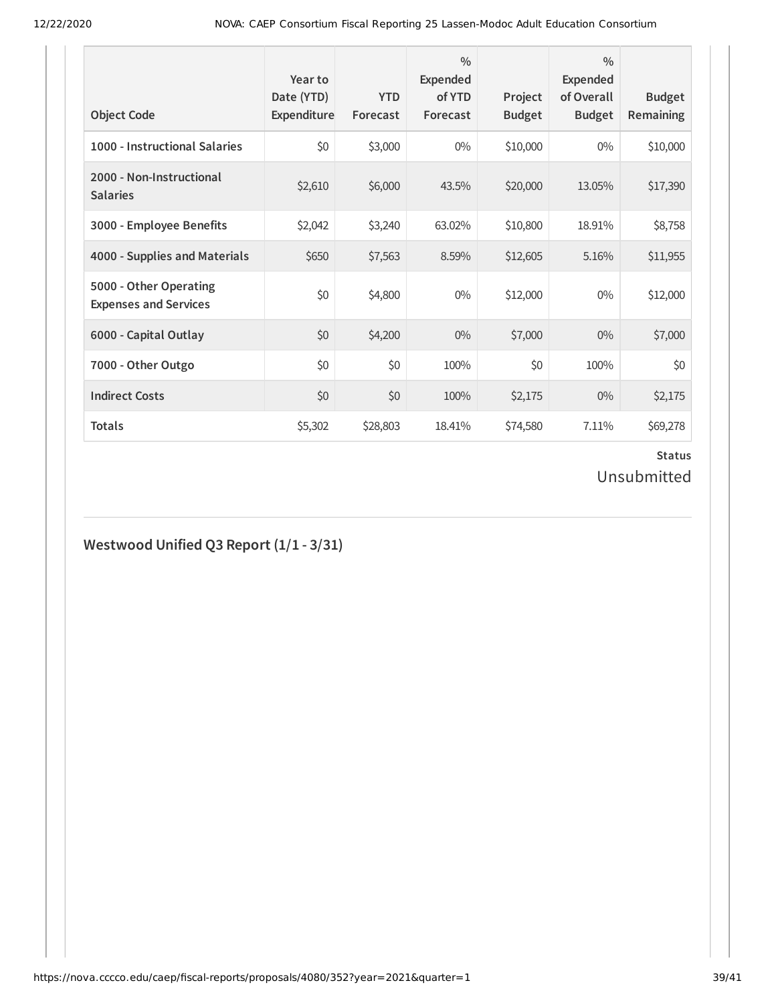| <b>Object Code</b>                                     | Year to<br>Date (YTD)<br>Expenditure | <b>YTD</b><br>Forecast | $\frac{0}{0}$<br>Expended<br>of YTD<br>Forecast | Project<br><b>Budget</b> | $\frac{0}{0}$<br>Expended<br>of Overall<br><b>Budget</b> | <b>Budget</b><br><b>Remaining</b> |
|--------------------------------------------------------|--------------------------------------|------------------------|-------------------------------------------------|--------------------------|----------------------------------------------------------|-----------------------------------|
| 1000 - Instructional Salaries                          | \$0                                  | \$3,000                | $0\%$                                           | \$10,000                 | $0\%$                                                    | \$10,000                          |
| 2000 - Non-Instructional<br><b>Salaries</b>            | \$2,610                              | \$6,000                | 43.5%                                           | \$20,000                 | 13.05%                                                   | \$17,390                          |
| 3000 - Employee Benefits                               | \$2,042                              | \$3,240                | 63.02%                                          | \$10,800                 | 18.91%                                                   | \$8,758                           |
| 4000 - Supplies and Materials                          | \$650                                | \$7,563                | 8.59%                                           | \$12,605                 | 5.16%                                                    | \$11,955                          |
| 5000 - Other Operating<br><b>Expenses and Services</b> | \$0                                  | \$4,800                | $0\%$                                           | \$12,000                 | $0\%$                                                    | \$12,000                          |
| 6000 - Capital Outlay                                  | \$0                                  | \$4,200                | $0\%$                                           | \$7,000                  | $0\%$                                                    | \$7,000                           |
| 7000 - Other Outgo                                     | \$0                                  | \$0                    | 100%                                            | \$0                      | 100%                                                     | \$0                               |
| <b>Indirect Costs</b>                                  | \$0                                  | \$0                    | 100%                                            | \$2,175                  | $0\%$                                                    | \$2,175                           |
| <b>Totals</b>                                          | \$5,302                              | \$28,803               | 18.41%                                          | \$74,580                 | 7.11%                                                    | \$69,278                          |

# **Westwood Unified Q3 Report (1/1 - 3/31)**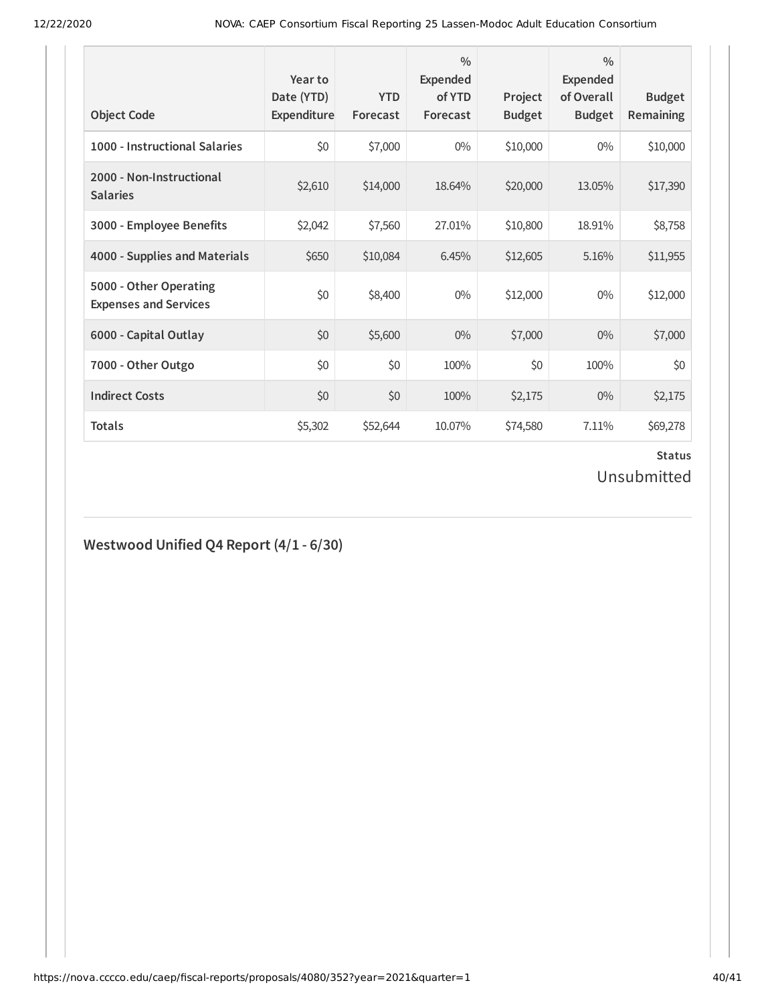| <b>Object Code</b>                                     | Year to<br>Date (YTD)<br>Expenditure | <b>YTD</b><br>Forecast | $\frac{0}{0}$<br>Expended<br>of YTD<br>Forecast | Project<br><b>Budget</b> | $\frac{0}{0}$<br>Expended<br>of Overall<br><b>Budget</b> | <b>Budget</b><br><b>Remaining</b> |
|--------------------------------------------------------|--------------------------------------|------------------------|-------------------------------------------------|--------------------------|----------------------------------------------------------|-----------------------------------|
| 1000 - Instructional Salaries                          | \$0                                  | \$7,000                | $0\%$                                           | \$10,000                 | $0\%$                                                    | \$10,000                          |
| 2000 - Non-Instructional<br><b>Salaries</b>            | \$2,610                              | \$14,000               | 18.64%                                          | \$20,000                 | 13.05%                                                   | \$17,390                          |
| 3000 - Employee Benefits                               | \$2,042                              | \$7,560                | 27.01%                                          | \$10,800                 | 18.91%                                                   | \$8,758                           |
| 4000 - Supplies and Materials                          | \$650                                | \$10,084               | 6.45%                                           | \$12,605                 | 5.16%                                                    | \$11,955                          |
| 5000 - Other Operating<br><b>Expenses and Services</b> | \$0                                  | \$8,400                | $0\%$                                           | \$12,000                 | $0\%$                                                    | \$12,000                          |
| 6000 - Capital Outlay                                  | \$0                                  | \$5,600                | $0\%$                                           | \$7,000                  | $0\%$                                                    | \$7,000                           |
| 7000 - Other Outgo                                     | \$0                                  | \$0                    | 100%                                            | \$0                      | 100%                                                     | \$0                               |
| <b>Indirect Costs</b>                                  | \$0                                  | \$0                    | 100%                                            | \$2,175                  | $0\%$                                                    | \$2,175                           |
| <b>Totals</b>                                          | \$5,302                              | \$52,644               | 10.07%                                          | \$74,580                 | 7.11%                                                    | \$69,278                          |

# **Westwood Unified Q4 Report (4/1 - 6/30)**